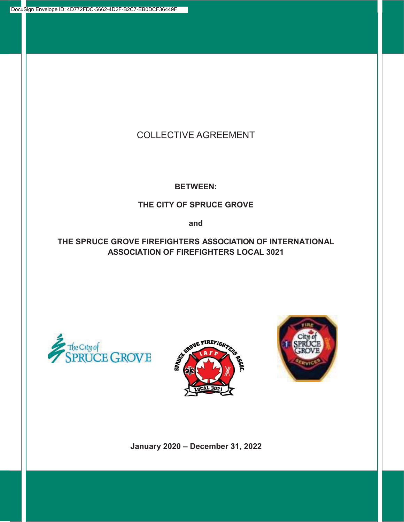## COLLECTIVE AGREEMENT

**BETWEEN:**

## **THE CITY OF SPRUCE GROVE**

**and**

**THE SPRUCE GROVE FIREFIGHTERS ASSOCIATION OF INTERNATIONAL ASSOCIATION OF FIREFIGHTERS LOCAL 3021** 







**January 2020 – December 31, 2022**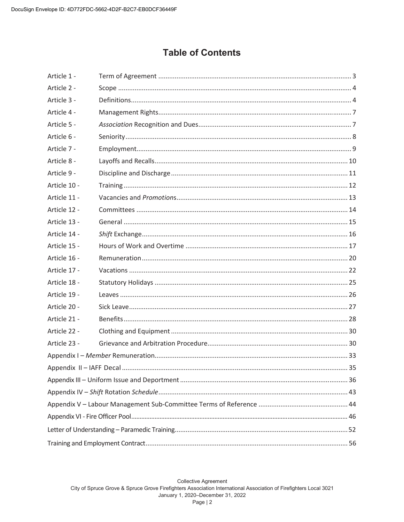# **Table of Contents**

| Article 1 -  |  |  |  |  |  |
|--------------|--|--|--|--|--|
| Article 2 -  |  |  |  |  |  |
| Article 3 -  |  |  |  |  |  |
| Article 4 -  |  |  |  |  |  |
| Article 5 -  |  |  |  |  |  |
| Article 6 -  |  |  |  |  |  |
| Article 7 -  |  |  |  |  |  |
| Article 8 -  |  |  |  |  |  |
| Article 9 -  |  |  |  |  |  |
| Article 10 - |  |  |  |  |  |
| Article 11 - |  |  |  |  |  |
| Article 12 - |  |  |  |  |  |
| Article 13 - |  |  |  |  |  |
| Article 14 - |  |  |  |  |  |
| Article 15 - |  |  |  |  |  |
| Article 16 - |  |  |  |  |  |
| Article 17 - |  |  |  |  |  |
| Article 18 - |  |  |  |  |  |
| Article 19 - |  |  |  |  |  |
| Article 20 - |  |  |  |  |  |
| Article 21 - |  |  |  |  |  |
| Article 22 - |  |  |  |  |  |
| Article 23 - |  |  |  |  |  |
|              |  |  |  |  |  |
|              |  |  |  |  |  |
|              |  |  |  |  |  |
|              |  |  |  |  |  |
|              |  |  |  |  |  |
|              |  |  |  |  |  |
|              |  |  |  |  |  |
|              |  |  |  |  |  |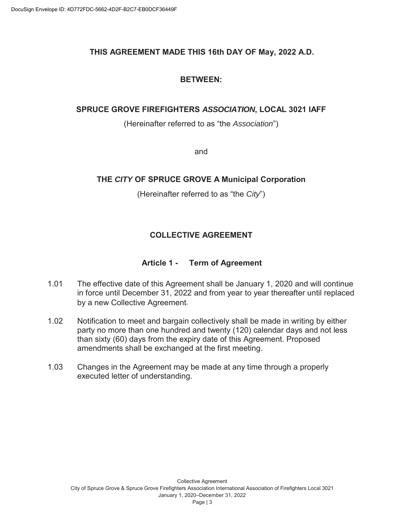## **THIS AGREEMENT MADE THIS 16th DAY OF May, 2022 A.D.**

#### **BETWEEN:**

## **SPRUCE GROVE FIREFIGHTERS** *ASSOCIATION***, LOCAL 3021 IAFF**

(Hereinafter referred to as "the *Association*")

and

## **THE** *CITY* **OF SPRUCE GROVE A Municipal Corporation**

(Hereinafter referred to as "the *City*")

## **COLLECTIVE AGREEMENT**

## **Article 1 - Term of Agreement**

- 1.01 The effective date of this Agreement shall be January 1, 2020 and will continue in force until December 31, 2022 and from year to year thereafter until replaced by a new Collective Agreement*.*
- 1.02 Notification to meet and bargain collectively shall be made in writing by either party no more than one hundred and twenty (120) calendar days and not less than sixty (60) days from the expiry date of this Agreement. Proposed amendments shall be exchanged at the first meeting.
- 1.03 Changes in the Agreement may be made at any time through a properly executed letter of understanding.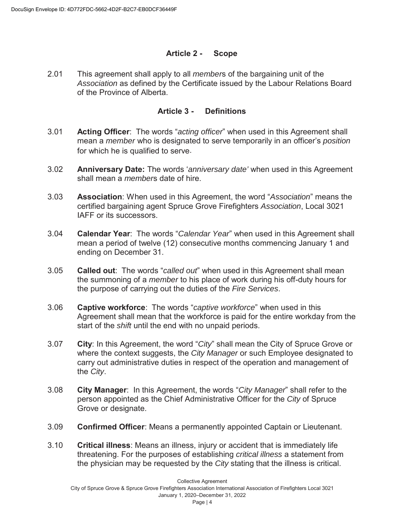#### **Article 2 - Scope**

2.01 This agreement shall apply to all *member*s of the bargaining unit of the *Association* as defined by the Certificate issued by the Labour Relations Board of the Province of Alberta.

#### **Article 3 - Definitions**

- 3.01 **Acting Officer**: The words "*acting officer*" when used in this Agreement shall mean a *member* who is designated to serve temporarily in an officer's *position* for which he is qualified to serve.
- 3.02 **Anniversary Date:** The words '*anniversary date'* when used in this Agreement shall mean a *member*s date of hire.
- 3.03 **Association**: When used in this Agreement, the word "*Association*" means the certified bargaining agent Spruce Grove Firefighters *Association*, Local 3021 IAFF or its successors.
- 3.04 **Calendar Year**: The words "*Calendar Year*" when used in this Agreement shall mean a period of twelve (12) consecutive months commencing January 1 and ending on December 31.
- 3.05 **Called out**: The words "*called out*" when used in this Agreement shall mean the summoning of a *member* to his place of work during his off-duty hours for the purpose of carrying out the duties of the *Fire Services*.
- 3.06 **Captive workforce**: The words "*captive workforce*" when used in this Agreement shall mean that the workforce is paid for the entire workday from the start of the *shift* until the end with no unpaid periods.
- 3.07 **City**: In this Agreement, the word "*City*" shall mean the City of Spruce Grove or where the context suggests, the *City Manager* or such Employee designated to carry out administrative duties in respect of the operation and management of the *City*.
- 3.08 **City Manager**: In this Agreement, the words "*City Manager*" shall refer to the person appointed as the Chief Administrative Officer for the *City* of Spruce Grove or designate.
- 3.09 **Confirmed Officer**: Means a permanently appointed Captain or Lieutenant.
- 3.10 **Critical illness**: Means an illness, injury or accident that is immediately life threatening. For the purposes of establishing *critical illness* a statement from the physician may be requested by the *City* stating that the illness is critical.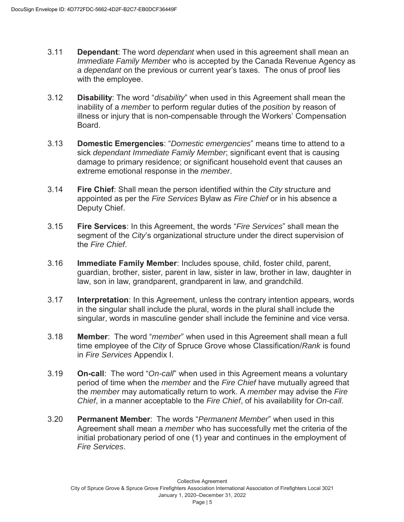- 3.11 **Dependant**: The word *dependant* when used in this agreement shall mean an *Immediate Family Member* who is accepted by the Canada Revenue Agency as a *dependant* on the previous or current year's taxes. The onus of proof lies with the employee.
- 3.12 **Disability**: The word "*disability*" when used in this Agreement shall mean the inability of a *member* to perform regular duties of the *position* by reason of illness or injury that is non-compensable through the Workers' Compensation Board.
- 3.13 **Domestic Emergencies**: "*Domestic emergencies*" means time to attend to a sick *dependant Immediate Family Member*; significant event that is causing damage to primary residence; or significant household event that causes an extreme emotional response in the *member*.
- 3.14 **Fire Chief**: Shall mean the person identified within the *City* structure and appointed as per the *Fire Services* Bylaw as *Fire Chief* or in his absence a Deputy Chief.
- 3.15 **Fire Services**: In this Agreement, the words "*Fire Services*" shall mean the segment of the *City*'s organizational structure under the direct supervision of the *Fire Chief*.
- 3.16 **Immediate Family Member**: Includes spouse, child, foster child, parent, guardian, brother, sister, parent in law, sister in law, brother in law, daughter in law, son in law, grandparent, grandparent in law, and grandchild.
- 3.17 **Interpretation**: In this Agreement, unless the contrary intention appears, words in the singular shall include the plural, words in the plural shall include the singular, words in masculine gender shall include the feminine and vice versa.
- 3.18 **Member**: The word "*member*" when used in this Agreement shall mean a full time employee of the *City* of Spruce Grove whose Classification/*Rank* is found in *Fire Services* Appendix I.
- 3.19 **On-call**: The word "*On-call*" when used in this Agreement means a voluntary period of time when the *member* and the *Fire Chief* have mutually agreed that the *member* may automatically return to work. A *member* may advise the *Fire Chief*, in a manner acceptable to the *Fire Chief*, of his availability for *On-call*.
- 3.20 **Permanent Member**: The words "*Permanent Member*" when used in this Agreement shall mean a *member* who has successfully met the criteria of the initial probationary period of one (1) year and continues in the employment of *Fire Services*.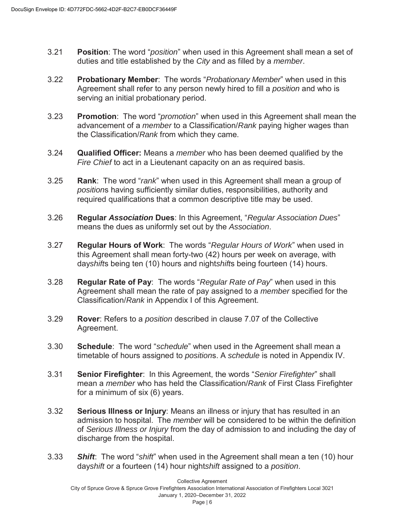- 3.21 **Position**: The word "*position*" when used in this Agreement shall mean a set of duties and title established by the *City* and as filled by a *member*.
- 3.22 **Probationary Member**: The words "*Probationary Member*" when used in this Agreement shall refer to any person newly hired to fill a *position* and who is serving an initial probationary period.
- 3.23 **Promotion**: The word "*promotion*" when used in this Agreement shall mean the advancement of a *member* to a Classification/*Rank* paying higher wages than the Classification/*Rank* from which they came.
- 3.24 **Qualified Officer:** Means a *member* who has been deemed qualified by the *Fire Chief* to act in a Lieutenant capacity on an as required basis.
- 3.25 **Rank**: The word "*rank*" when used in this Agreement shall mean a group of *position*s having sufficiently similar duties, responsibilities, authority and required qualifications that a common descriptive title may be used.
- 3.26 **Regular** *Association* **Dues**: In this Agreement, "*Regular Association Dues*" means the dues as uniformly set out by the *Association*.
- 3.27 **Regular Hours of Work**: The words "*Regular Hours of Work*" when used in this Agreement shall mean forty-two (42) hours per week on average, with day*shift*s being ten (10) hours and night*shift*s being fourteen (14) hours.
- 3.28 **Regular Rate of Pay**: The words "*Regular Rate of Pay*" when used in this Agreement shall mean the rate of pay assigned to a *member* specified for the Classification/*Rank* in Appendix I of this Agreement.
- 3.29 **Rover**: Refers to a *position* described in clause 7.07 of the Collective Agreement.
- 3.30 **Schedule**: The word "*schedule*" when used in the Agreement shall mean a timetable of hours assigned to *position*s. A *schedule* is noted in Appendix IV.
- 3.31 **Senior Firefighter**: In this Agreement, the words "*Senior Firefighter*" shall mean a *member* who has held the Classification/*Rank* of First Class Firefighter for a minimum of six (6) years.
- 3.32 **Serious Illness or Injury**: Means an illness or injury that has resulted in an admission to hospital. The *member* will be considered to be within the definition of *Serious Illness or Injury* from the day of admission to and including the day of discharge from the hospital.
- 3.33 *Shift*: The word "*shift*" when used in the Agreement shall mean a ten (10) hour day*shift* or a fourteen (14) hour night*shift* assigned to a *position*.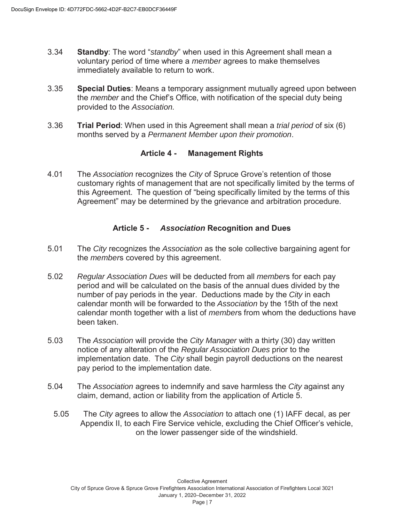- 3.34 **Standby**: The word "*standby*" when used in this Agreement shall mean a voluntary period of time where a *member* agrees to make themselves immediately available to return to work.
- 3.35 **Special Duties**: Means a temporary assignment mutually agreed upon between the *member* and the Chief's Office, with notification of the special duty being provided to the *Association.*
- 3.36 **Trial Period**: When used in this Agreement shall mean a *trial period* of six (6) months served by a *Permanent Member upon their promotion*.

#### **Article 4 - Management Rights**

4.01 The *Association* recognizes the *City* of Spruce Grove's retention of those customary rights of management that are not specifically limited by the terms of this Agreement. The question of "being specifically limited by the terms of this Agreement" may be determined by the grievance and arbitration procedure.

#### **Article 5 -** *Association* **Recognition and Dues**

- 5.01 The *City* recognizes the *Association* as the sole collective bargaining agent for the *member*s covered by this agreement.
- 5.02 *Regular Association Dues* will be deducted from all *member*s for each pay period and will be calculated on the basis of the annual dues divided by the number of pay periods in the year. Deductions made by the *City* in each calendar month will be forwarded to the *Association* by the 15th of the next calendar month together with a list of *member*s from whom the deductions have been taken.
- 5.03 The *Association* will provide the *City Manager* with a thirty (30) day written notice of any alteration of the *Regular Association Dues* prior to the implementation date. The *City* shall begin payroll deductions on the nearest pay period to the implementation date.
- 5.04 The *Association* agrees to indemnify and save harmless the *City* against any claim, demand, action or liability from the application of Article 5.
	- 5.05 The *City* agrees to allow the *Association* to attach one (1) IAFF decal, as per Appendix II, to each Fire Service vehicle, excluding the Chief Officer's vehicle, on the lower passenger side of the windshield.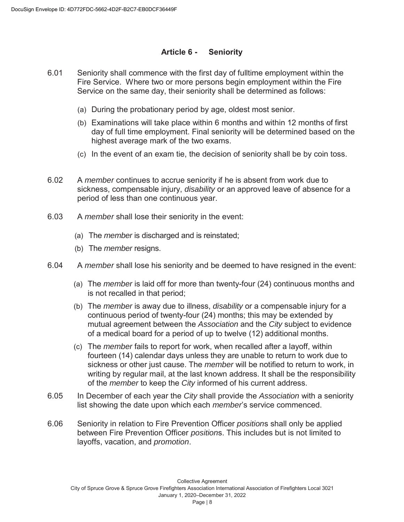#### **Article 6 - Seniority**

- 6.01 Seniority shall commence with the first day of fulltime employment within the Fire Service. Where two or more persons begin employment within the Fire Service on the same day, their seniority shall be determined as follows:
	- (a) During the probationary period by age, oldest most senior.
	- (b) Examinations will take place within 6 months and within 12 months of first day of full time employment. Final seniority will be determined based on the highest average mark of the two exams.
	- (c) In the event of an exam tie, the decision of seniority shall be by coin toss.
- 6.02 A *member* continues to accrue seniority if he is absent from work due to sickness, compensable injury, *disability* or an approved leave of absence for a period of less than one continuous year.
- 6.03 A *member* shall lose their seniority in the event:
	- (a) The *member* is discharged and is reinstated;
	- (b) The *member* resigns.
- 6.04 A *member* shall lose his seniority and be deemed to have resigned in the event:
	- (a) The *member* is laid off for more than twenty-four (24) continuous months and is not recalled in that period;
	- (b) The *member* is away due to illness, *disability* or a compensable injury for a continuous period of twenty-four (24) months; this may be extended by mutual agreement between the *Association* and the *City* subject to evidence of a medical board for a period of up to twelve (12) additional months.
	- (c) The *member* fails to report for work, when recalled after a layoff, within fourteen (14) calendar days unless they are unable to return to work due to sickness or other just cause. The *member* will be notified to return to work, in writing by regular mail, at the last known address. It shall be the responsibility of the *member* to keep the *City* informed of his current address.
- 6.05 In December of each year the *City* shall provide the *Association* with a seniority list showing the date upon which each *member*'s service commenced.
- 6.06 Seniority in relation to Fire Prevention Officer *position*s shall only be applied between Fire Prevention Officer *position*s. This includes but is not limited to layoffs, vacation, and *promotion*.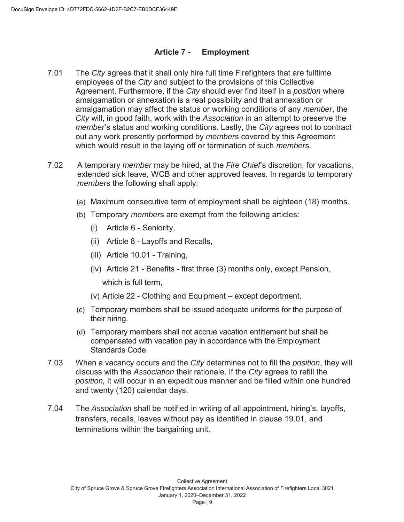#### **Article 7 - Employment**

- 7.01 The *City* agrees that it shall only hire full time Firefighters that are fulltime employees of the *City* and subject to the provisions of this Collective Agreement. Furthermore, if the *City* should ever find itself in a *position* where amalgamation or annexation is a real possibility and that annexation or amalgamation may affect the status or working conditions of any *member*, the *City* will, in good faith, work with the *Association* in an attempt to preserve the *member*'s status and working conditions. Lastly, the *City* agrees not to contract out any work presently performed by *member*s covered by this Agreement which would result in the laying off or termination of such *member*s.
- 7.02 A temporary *member* may be hired, at the *Fire Chief*'s discretion, for vacations, extended sick leave, WCB and other approved leaves. In regards to temporary *member*s the following shall apply:
	- (a) Maximum consecutive term of employment shall be eighteen (18) months.
	- (b) Temporary *member*s are exempt from the following articles:
		- (i) Article 6 Seniority,
		- (ii) Article 8 Layoffs and Recalls,
		- (iii) Article 10.01 Training,
		- (iv) Article 21 Benefits first three (3) months only, except Pension,

which is full term,

- (v) Article 22 Clothing and Equipment except deportment.
- (c) Temporary members shall be issued adequate uniforms for the purpose of their hiring.
- (d) Temporary members shall not accrue vacation entitlement but shall be compensated with vacation pay in accordance with the Employment Standards Code.
- 7.03 When a vacancy occurs and the *City* determines not to fill the *position*, they will discuss with the *Association* their rationale. If the *City* agrees to refill the *position,* it will occur in an expeditious manner and be filled within one hundred and twenty (120) calendar days.
- 7.04 The *Association* shall be notified in writing of all appointment, hiring's, layoffs, transfers, recalls, leaves without pay as identified in clause 19.01, and terminations within the bargaining unit.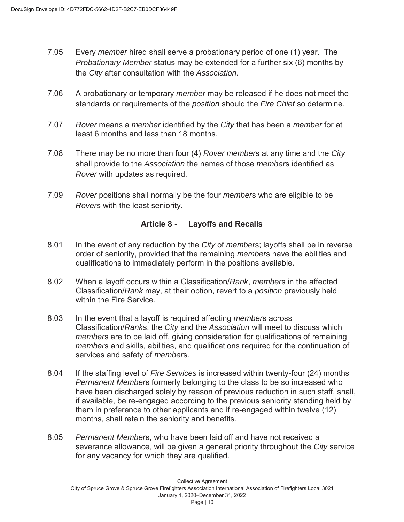- 7.05 Every *member* hired shall serve a probationary period of one (1) year. The *Probationary Member* status may be extended for a further six (6) months by the *City* after consultation with the *Association*.
- 7.06 A probationary or temporary *member* may be released if he does not meet the standards or requirements of the *position* should the *Fire Chief* so determine.
- 7.07 *Rover* means a *member* identified by the *City* that has been a *member* for at least 6 months and less than 18 months.
- 7.08 There may be no more than four (4) *Rover member*s at any time and the *City* shall provide to the *Association* the names of those *member*s identified as *Rover* with updates as required.
- 7.09 *Rover* positions shall normally be the four *member*s who are eligible to be *Rover*s with the least seniority.

#### **Article 8 - Layoffs and Recalls**

- 8.01 In the event of any reduction by the *City* of *member*s; layoffs shall be in reverse order of seniority, provided that the remaining *member*s have the abilities and qualifications to immediately perform in the positions available.
- 8.02 When a layoff occurs within a Classification/*Rank*, *member*s in the affected Classification/*Rank* may, at their option, revert to a *position* previously held within the Fire Service.
- 8.03 In the event that a layoff is required affecting *member*s across Classification/*Rank*s, the *City* and the *Association* will meet to discuss which *member*s are to be laid off, giving consideration for qualifications of remaining *member*s and skills, abilities, and qualifications required for the continuation of services and safety of *member*s.
- 8.04 If the staffing level of *Fire Services* is increased within twenty-four (24) months *Permanent Member*s formerly belonging to the class to be so increased who have been discharged solely by reason of previous reduction in such staff, shall, if available, be re-engaged according to the previous seniority standing held by them in preference to other applicants and if re-engaged within twelve (12) months, shall retain the seniority and benefits.
- 8.05 *Permanent Member*s, who have been laid off and have not received a severance allowance, will be given a general priority throughout the *City* service for any vacancy for which they are qualified.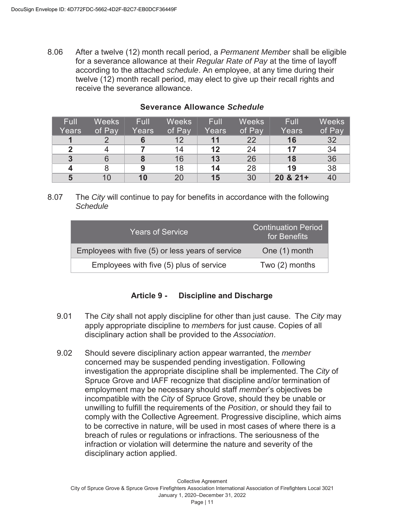8.06 After a twelve (12) month recall period, a *Permanent Member* shall be eligible for a severance allowance at their *Regular Rate of Pay* at the time of layoff according to the attached *schedule*. An employee, at any time during their twelve (12) month recall period, may elect to give up their recall rights and receive the severance allowance.

| <b>Full</b>    | <b>Weeks</b> | Full  | <b>Weeks</b> | Full  | <b>Weeks</b> | Full        | <b>Weeks</b> |
|----------------|--------------|-------|--------------|-------|--------------|-------------|--------------|
| Years          | of Pay       | Years | of Pay       | Years | of Pay       | Years       | of Pay       |
|                |              |       | 12           | 11    | 22           | 16          | 32           |
| າ              |              |       | 14           | 12    | 24           | 17          | 34           |
| $\overline{3}$ |              |       | 16           | 13    | 26           | 18          | 36           |
|                |              | 9     | 18           | 14    | 28           | 19          | 38           |
| 5              | 10           | 10    | 20           | 15    | 30           | $20 & 21 +$ | 40           |

#### **Severance Allowance** *Schedule*

8.07 The *City* will continue to pay for benefits in accordance with the following *Schedule*

| <b>Years of Service</b>                          | Continuation Period<br>for Benefits |
|--------------------------------------------------|-------------------------------------|
| Employees with five (5) or less years of service | One (1) month                       |
| Employees with five (5) plus of service          | Two $(2)$ months                    |

#### **Article 9 - Discipline and Discharge**

- 9.01 The *City* shall not apply discipline for other than just cause. The *City* may apply appropriate discipline to *member*s for just cause. Copies of all disciplinary action shall be provided to the *Association*.
- 9.02 Should severe disciplinary action appear warranted, the *member* concerned may be suspended pending investigation. Following investigation the appropriate discipline shall be implemented. The *City* of Spruce Grove and IAFF recognize that discipline and/or termination of employment may be necessary should staff *member*'s objectives be incompatible with the *City* of Spruce Grove, should they be unable or unwilling to fulfill the requirements of the *Position*, or should they fail to comply with the Collective Agreement. Progressive discipline, which aims to be corrective in nature, will be used in most cases of where there is a breach of rules or regulations or infractions. The seriousness of the infraction or violation will determine the nature and severity of the disciplinary action applied.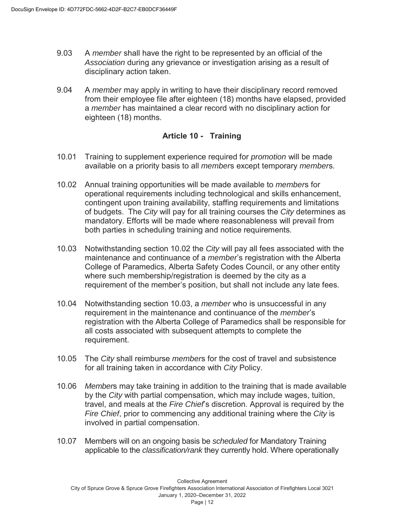- 9.03 A *member* shall have the right to be represented by an official of the *Association* during any grievance or investigation arising as a result of disciplinary action taken.
- 9.04 A *member* may apply in writing to have their disciplinary record removed from their employee file after eighteen (18) months have elapsed, provided a *member* has maintained a clear record with no disciplinary action for eighteen (18) months.

#### **Article 10 - Training**

- 10.01 Training to supplement experience required for *promotion* will be made available on a priority basis to all *member*s except temporary *member*s.
- 10.02 Annual training opportunities will be made available to *member*s for operational requirements including technological and skills enhancement, contingent upon training availability, staffing requirements and limitations of budgets. The *City* will pay for all training courses the *City* determines as mandatory. Efforts will be made where reasonableness will prevail from both parties in scheduling training and notice requirements.
- 10.03 Notwithstanding section 10.02 the *City* will pay all fees associated with the maintenance and continuance of a *member*'s registration with the Alberta College of Paramedics, Alberta Safety Codes Council, or any other entity where such membership/registration is deemed by the city as a requirement of the member's position, but shall not include any late fees.
- 10.04 Notwithstanding section 10.03, a *member* who is unsuccessful in any requirement in the maintenance and continuance of the *member*'s registration with the Alberta College of Paramedics shall be responsible for all costs associated with subsequent attempts to complete the requirement.
- 10.05 The *City* shall reimburse *member*s for the cost of travel and subsistence for all training taken in accordance with *City* Policy.
- 10.06 *Member*s may take training in addition to the training that is made available by the *City* with partial compensation, which may include wages, tuition, travel, and meals at the *Fire Chief*'s discretion. Approval is required by the *Fire Chief*, prior to commencing any additional training where the *City* is involved in partial compensation.
- 10.07 Members will on an ongoing basis be *scheduled* for Mandatory Training applicable to the *classification/rank* they currently hold. Where operationally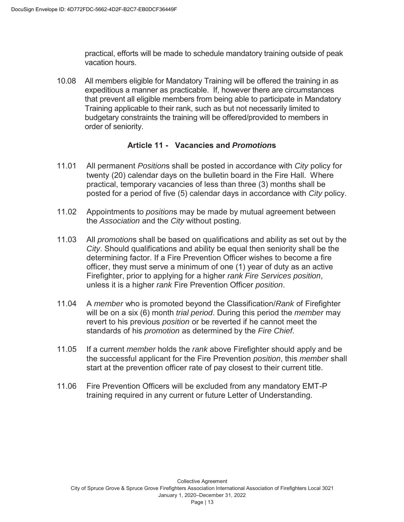practical, efforts will be made to schedule mandatory training outside of peak vacation hours.

10.08 All members eligible for Mandatory Training will be offered the training in as expeditious a manner as practicable. If, however there are circumstances that prevent all eligible members from being able to participate in Mandatory Training applicable to their rank, such as but not necessarily limited to budgetary constraints the training will be offered/provided to members in order of seniority.

#### **Article 11 - Vacancies and** *Promotion***s**

- 11.01 All permanent *Position*s shall be posted in accordance with *City* policy for twenty (20) calendar days on the bulletin board in the Fire Hall. Where practical, temporary vacancies of less than three (3) months shall be posted for a period of five (5) calendar days in accordance with *City* policy.
- 11.02 Appointments to *position*s may be made by mutual agreement between the *Association* and the *City* without posting.
- 11.03 All *promotion*s shall be based on qualifications and ability as set out by the *City*. Should qualifications and ability be equal then seniority shall be the determining factor. If a Fire Prevention Officer wishes to become a fire officer, they must serve a minimum of one (1) year of duty as an active Firefighter, prior to applying for a higher *rank Fire Services position*, unless it is a higher *rank* Fire Prevention Officer *position*.
- 11.04 A *member* who is promoted beyond the Classification/*Rank* of Firefighter will be on a six (6) month *trial period*. During this period the *member* may revert to his previous *position* or be reverted if he cannot meet the standards of his *promotion* as determined by the *Fire Chief*.
- 11.05 If a current *member* holds the *rank* above Firefighter should apply and be the successful applicant for the Fire Prevention *position*, this *member* shall start at the prevention officer rate of pay closest to their current title.
- 11.06 Fire Prevention Officers will be excluded from any mandatory EMT-P training required in any current or future Letter of Understanding.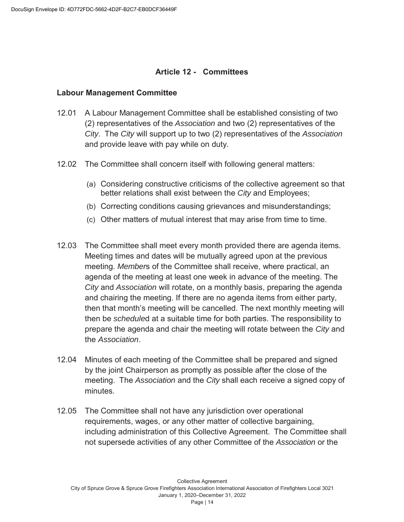#### **Article 12 - Committees**

#### **Labour Management Committee**

- 12.01 A Labour Management Committee shall be established consisting of two (2) representatives of the *Association* and two (2) representatives of the *City*. The *City* will support up to two (2) representatives of the *Association* and provide leave with pay while on duty.
- 12.02 The Committee shall concern itself with following general matters:
	- (a) Considering constructive criticisms of the collective agreement so that better relations shall exist between the *City* and Employees;
	- (b) Correcting conditions causing grievances and misunderstandings;
	- (c) Other matters of mutual interest that may arise from time to time.
- 12.03 The Committee shall meet every month provided there are agenda items. Meeting times and dates will be mutually agreed upon at the previous meeting. *Member*s of the Committee shall receive, where practical, an agenda of the meeting at least one week in advance of the meeting. The *City* and *Association* will rotate, on a monthly basis, preparing the agenda and chairing the meeting. If there are no agenda items from either party, then that month's meeting will be cancelled. The next monthly meeting will then be *schedule*d at a suitable time for both parties. The responsibility to prepare the agenda and chair the meeting will rotate between the *City* and the *Association*.
- 12.04 Minutes of each meeting of the Committee shall be prepared and signed by the joint Chairperson as promptly as possible after the close of the meeting. The *Association* and the *City* shall each receive a signed copy of minutes.
- 12.05 The Committee shall not have any jurisdiction over operational requirements, wages, or any other matter of collective bargaining, including administration of this Collective Agreement. The Committee shall not supersede activities of any other Committee of the *Association* or the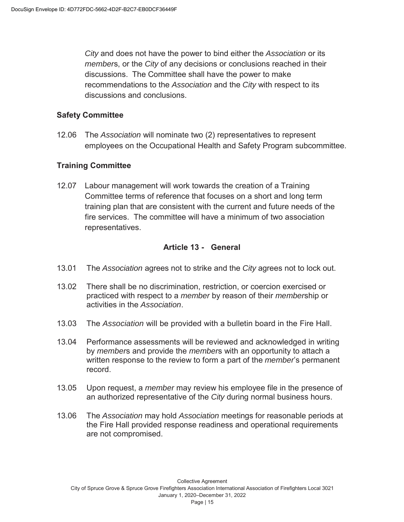*City* and does not have the power to bind either the *Association* or its *member*s, or the *City* of any decisions or conclusions reached in their discussions. The Committee shall have the power to make recommendations to the *Association* and the *City* with respect to its discussions and conclusions.

#### **Safety Committee**

12.06 The *Association* will nominate two (2) representatives to represent employees on the Occupational Health and Safety Program subcommittee.

#### **Training Committee**

12.07 Labour management will work towards the creation of a Training Committee terms of reference that focuses on a short and long term training plan that are consistent with the current and future needs of the fire services. The committee will have a minimum of two association representatives.

#### **Article 13 - General**

- 13.01 The *Association* agrees not to strike and the *City* agrees not to lock out.
- 13.02 There shall be no discrimination, restriction, or coercion exercised or practiced with respect to a *member* by reason of their *member*ship or activities in the *Association*.
- 13.03 The *Association* will be provided with a bulletin board in the Fire Hall.
- 13.04 Performance assessments will be reviewed and acknowledged in writing by *member*s and provide the *member*s with an opportunity to attach a written response to the review to form a part of the *member*'s permanent record.
- 13.05 Upon request, a *member* may review his employee file in the presence of an authorized representative of the *City* during normal business hours.
- 13.06 The *Association* may hold *Association* meetings for reasonable periods at the Fire Hall provided response readiness and operational requirements are not compromised.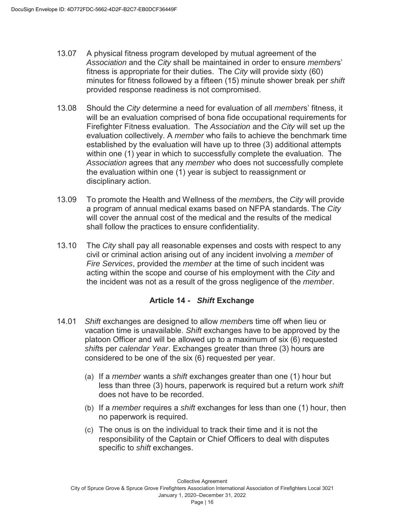- 13.07 A physical fitness program developed by mutual agreement of the *Association* and the *City* shall be maintained in order to ensure *member*s' fitness is appropriate for their duties. The *City* will provide sixty (60) minutes for fitness followed by a fifteen (15) minute shower break per *shift* provided response readiness is not compromised.
- 13.08 Should the *City* determine a need for evaluation of all *member*s' fitness, it will be an evaluation comprised of bona fide occupational requirements for Firefighter Fitness evaluation. The *Association* and the *City* will set up the evaluation collectively. A *member* who fails to achieve the benchmark time established by the evaluation will have up to three (3) additional attempts within one (1) year in which to successfully complete the evaluation. The *Association* agrees that any *member* who does not successfully complete the evaluation within one (1) year is subject to reassignment or disciplinary action.
- 13.09 To promote the Health and Wellness of the *member*s, the *City* will provide a program of annual medical exams based on NFPA standards. The *City* will cover the annual cost of the medical and the results of the medical shall follow the practices to ensure confidentiality.
- 13.10 The *City* shall pay all reasonable expenses and costs with respect to any civil or criminal action arising out of any incident involving a *member* of *Fire Services*, provided the *member* at the time of such incident was acting within the scope and course of his employment with the *City* and the incident was not as a result of the gross negligence of the *member*.

## **Article 14 -** *Shift* **Exchange**

- 14.01 *Shift* exchanges are designed to allow *member*s time off when lieu or vacation time is unavailable. *Shift* exchanges have to be approved by the platoon Officer and will be allowed up to a maximum of six (6) requested *shift*s per *calendar Year*. Exchanges greater than three (3) hours are considered to be one of the six (6) requested per year.
	- (a) If a *member* wants a *shift* exchanges greater than one (1) hour but less than three (3) hours, paperwork is required but a return work *shift* does not have to be recorded.
	- (b) If a *member* requires a *shift* exchanges for less than one (1) hour, then no paperwork is required.
	- (c) The onus is on the individual to track their time and it is not the responsibility of the Captain or Chief Officers to deal with disputes specific to *shift* exchanges.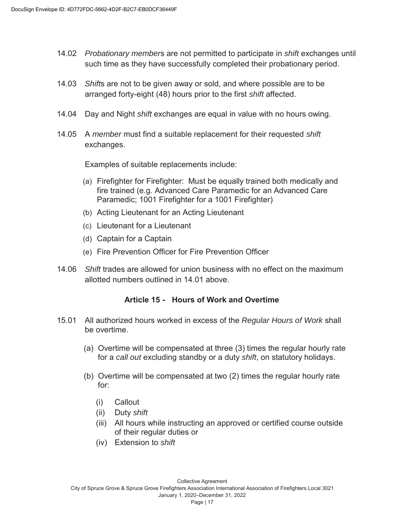- 14.02 *Probationary member*s are not permitted to participate in *shift* exchanges until such time as they have successfully completed their probationary period.
- 14.03 *Shift*s are not to be given away or sold, and where possible are to be arranged forty-eight (48) hours prior to the first *shift* affected.
- 14.04 Day and Night *shift* exchanges are equal in value with no hours owing.
- 14.05 A *member* must find a suitable replacement for their requested *shift* exchanges.

Examples of suitable replacements include:

- (a) Firefighter for Firefighter: Must be equally trained both medically and fire trained (e.g. Advanced Care Paramedic for an Advanced Care Paramedic; 1001 Firefighter for a 1001 Firefighter)
- (b) Acting Lieutenant for an Acting Lieutenant
- (c) Lieutenant for a Lieutenant
- (d) Captain for a Captain
- (e) Fire Prevention Officer for Fire Prevention Officer
- 14.06 *Shift* trades are allowed for union business with no effect on the maximum allotted numbers outlined in 14.01 above.

#### **Article 15 - Hours of Work and Overtime**

- 15.01 All authorized hours worked in excess of the *Regular Hours of Work* shall be overtime.
	- (a) Overtime will be compensated at three (3) times the regular hourly rate for a *call out* excluding standby or a duty *shift*, on statutory holidays.
	- (b) Overtime will be compensated at two (2) times the regular hourly rate for:
		- (i) Callout
		- (ii) Duty *shift*
		- (iii) All hours while instructing an approved or certified course outside of their regular duties or
		- (iv) Extension to *shift*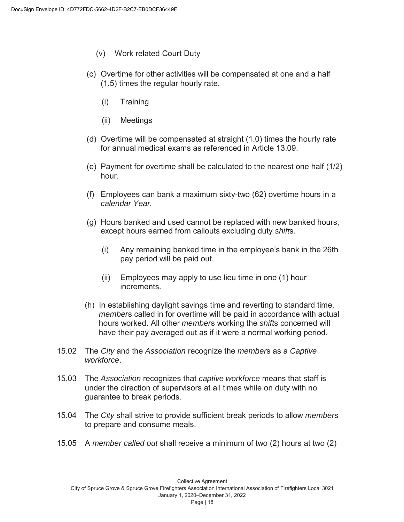- (v) Work related Court Duty
- (c) Overtime for other activities will be compensated at one and a half (1.5) times the regular hourly rate.
	- (i) Training
	- (ii) Meetings
- (d) Overtime will be compensated at straight (1.0) times the hourly rate for annual medical exams as referenced in Article 13.09.
- (e) Payment for overtime shall be calculated to the nearest one half (1/2) hour.
- (f) Employees can bank a maximum sixty-two (62) overtime hours in a *calendar Year.*
- (g) Hours banked and used cannot be replaced with new banked hours, except hours earned from callouts excluding duty *shift*s.
	- (i) Any remaining banked time in the employee's bank in the 26th pay period will be paid out.
	- (ii) Employees may apply to use lieu time in one (1) hour increments.
- (h) In establishing daylight savings time and reverting to standard time, *member*s called in for overtime will be paid in accordance with actual hours worked. All other *member*s working the *shift*s concerned will have their pay averaged out as if it were a normal working period.
- 15.02 The *City* and the *Association* recognize the *member*s as a *Captive workforce*.
- 15.03 The *Association* recognizes that *captive workforce* means that staff is under the direction of supervisors at all times while on duty with no guarantee to break periods.
- 15.04 The *City* shall strive to provide sufficient break periods to allow *member*s to prepare and consume meals.
- 15.05 A *member called out* shall receive a minimum of two (2) hours at two (2)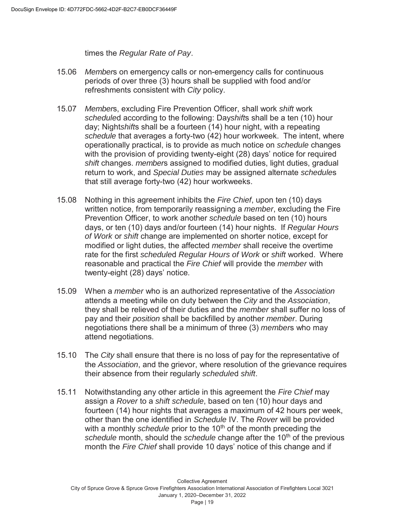times the *Regular Rate of Pay*.

- 15.06 *Member*s on emergency calls or non-emergency calls for continuous periods of over three (3) hours shall be supplied with food and/or refreshments consistent with *City* policy.
- 15.07 *Member*s, excluding Fire Prevention Officer, shall work *shift* work *schedule*d according to the following: Day*shift*s shall be a ten (10) hour day; Night*shift*s shall be a fourteen (14) hour night, with a repeating *schedule* that averages a forty-two (42) hour workweek. The intent, where operationally practical, is to provide as much notice on *schedule* changes with the provision of providing twenty-eight (28) days' notice for required *shift* changes. *member*s assigned to modified duties, light duties, gradual return to work, and *Special Duties* may be assigned alternate *schedule*s that still average forty-two (42) hour workweeks.
- 15.08 Nothing in this agreement inhibits the *Fire Chief*, upon ten (10) days written notice, from temporarily reassigning a *member*, excluding the Fire Prevention Officer, to work another *schedule* based on ten (10) hours days, or ten (10) days and/or fourteen (14) hour nights. If *Regular Hours of Work* or *shift* change are implemented on shorter notice, except for modified or light duties, the affected *member* shall receive the overtime rate for the first *schedule*d *Regular Hours of Work* or *shift* worked. Where reasonable and practical the *Fire Chief* will provide the *member* with twenty-eight (28) days' notice.
- 15.09 When a *member* who is an authorized representative of the *Association* attends a meeting while on duty between the *City* and the *Association*, they shall be relieved of their duties and the *member* shall suffer no loss of pay and their *position* shall be backfilled by another *member*. During negotiations there shall be a minimum of three (3) *member*s who may attend negotiations.
- 15.10 The *City* shall ensure that there is no loss of pay for the representative of the *Association*, and the grievor, where resolution of the grievance requires their absence from their regularly *schedule*d *shift*.
- 15.11 Notwithstanding any other article in this agreement the *Fire Chief* may assign a *Rover* to a *shift schedule*, based on ten (10) hour days and fourteen (14) hour nights that averages a maximum of 42 hours per week, other than the one identified in *Schedule* IV. The *Rover* will be provided with a monthly *schedule* prior to the 10<sup>th</sup> of the month preceding the *schedule* month, should the *schedule* change after the 10<sup>th</sup> of the previous month the *Fire Chief* shall provide 10 days' notice of this change and if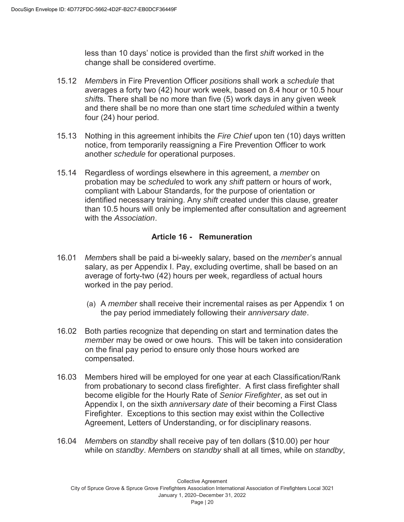less than 10 days' notice is provided than the first *shift* worked in the change shall be considered overtime.

- 15.12 *Member*s in Fire Prevention Officer *position*s shall work a *schedule* that averages a forty two (42) hour work week, based on 8.4 hour or 10.5 hour *shift*s. There shall be no more than five (5) work days in any given week and there shall be no more than one start time *schedule*d within a twenty four (24) hour period.
- 15.13 Nothing in this agreement inhibits the *Fire Chief* upon ten (10) days written notice, from temporarily reassigning a Fire Prevention Officer to work another *schedule* for operational purposes.
- 15.14 Regardless of wordings elsewhere in this agreement, a *member* on probation may be *schedule*d to work any *shift* pattern or hours of work, compliant with Labour Standards, for the purpose of orientation or identified necessary training. Any *shift* created under this clause, greater than 10.5 hours will only be implemented after consultation and agreement with the *Association*.

#### **Article 16 - Remuneration**

- 16.01 *Member*s shall be paid a bi-weekly salary, based on the *member*'s annual salary, as per Appendix I. Pay, excluding overtime, shall be based on an average of forty-two (42) hours per week, regardless of actual hours worked in the pay period.
	- (a) A *member* shall receive their incremental raises as per Appendix 1 on the pay period immediately following their *anniversary date*.
- 16.02 Both parties recognize that depending on start and termination dates the *member* may be owed or owe hours. This will be taken into consideration on the final pay period to ensure only those hours worked are compensated.
- 16.03 Members hired will be employed for one year at each Classification/Rank from probationary to second class firefighter. A first class firefighter shall become eligible for the Hourly Rate of *Senior Firefighter*, as set out in Appendix I, on the sixth *anniversary date* of their becoming a First Class Firefighter. Exceptions to this section may exist within the Collective Agreement, Letters of Understanding, or for disciplinary reasons.
- 16.04 *Member*s on *standby* shall receive pay of ten dollars (\$10.00) per hour while on *standby*. *Member*s on *standby* shall at all times, while on *standby*,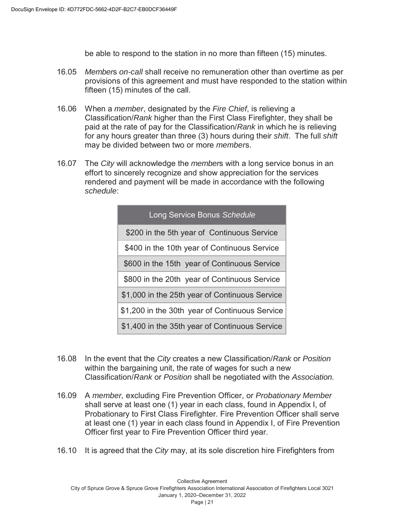be able to respond to the station in no more than fifteen (15) minutes.

- 16.05 *Member*s *on-call* shall receive no remuneration other than overtime as per provisions of this agreement and must have responded to the station within fifteen (15) minutes of the call.
- 16.06 When a *member*, designated by the *Fire Chief*, is relieving a Classification/*Rank* higher than the First Class Firefighter, they shall be paid at the rate of pay for the Classification/*Rank* in which he is relieving for any hours greater than three (3) hours during their *shift*. The full *shift* may be divided between two or more *member*s.
- 16.07 The *City* will acknowledge the *member*s with a long service bonus in an effort to sincerely recognize and show appreciation for the services rendered and payment will be made in accordance with the following *schedule*:

| Long Service Bonus Schedule                    |
|------------------------------------------------|
| \$200 in the 5th year of Continuous Service    |
| \$400 in the 10th year of Continuous Service   |
| \$600 in the 15th year of Continuous Service   |
| \$800 in the 20th year of Continuous Service   |
| \$1,000 in the 25th year of Continuous Service |
| \$1,200 in the 30th year of Continuous Service |
| \$1,400 in the 35th year of Continuous Service |

- 16.08 In the event that the *City* creates a new Classification/*Rank* or *Position* within the bargaining unit, the rate of wages for such a new Classification/*Rank* or *Position* shall be negotiated with the *Association.*
- 16.09 A *member,* excluding Fire Prevention Officer, or *Probationary Member* shall serve at least one (1) year in each class, found in Appendix I, of Probationary to First Class Firefighter. Fire Prevention Officer shall serve at least one (1) year in each class found in Appendix I, of Fire Prevention Officer first year to Fire Prevention Officer third year.
- 16.10 It is agreed that the *City* may, at its sole discretion hire Firefighters from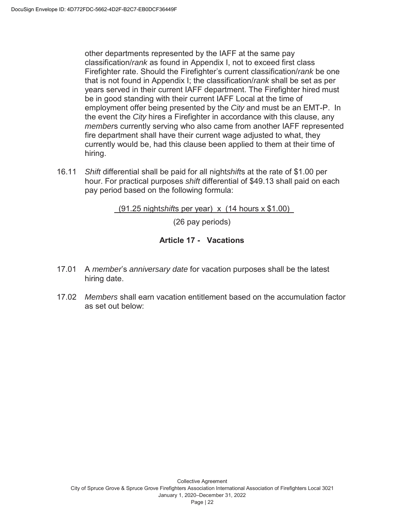other departments represented by the IAFF at the same pay classification/*rank* as found in Appendix I, not to exceed first class Firefighter rate. Should the Firefighter's current classification/*rank* be one that is not found in Appendix I; the classification/*rank* shall be set as per years served in their current IAFF department. The Firefighter hired must be in good standing with their current IAFF Local at the time of employment offer being presented by the *City* and must be an EMT-P. In the event the *City* hires a Firefighter in accordance with this clause, any *member*s currently serving who also came from another IAFF represented fire department shall have their current wage adjusted to what, they currently would be, had this clause been applied to them at their time of hiring.

16.11 *Shift* differential shall be paid for all night*shift*s at the rate of \$1.00 per hour. For practical purposes *shift* differential of \$49.13 shall paid on each pay period based on the following formula:

(91.25 night*shift*s per year) x (14 hours x \$1.00)

(26 pay periods)

#### **Article 17 - Vacations**

- 17.01 A *member*'s *anniversary date* for vacation purposes shall be the latest hiring date.
- 17.02 *Members* shall earn vacation entitlement based on the accumulation factor as set out below: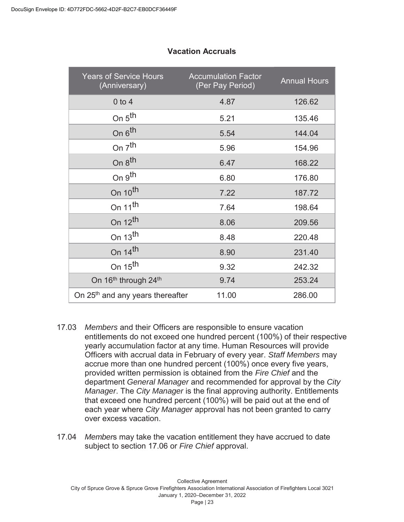| <b>Years of Service Hours</b><br>(Anniversary) | <b>Accumulation Factor</b><br>(Per Pay Period) | <b>Annual Hours</b> |
|------------------------------------------------|------------------------------------------------|---------------------|
| $0$ to $4$                                     | 4.87                                           | 126.62              |
| On $5th$                                       | 5.21                                           | 135.46              |
| On 6 <sup>th</sup>                             | 5.54                                           | 144.04              |
| On $7th$                                       | 5.96                                           | 154.96              |
| On 8 <sup>th</sup>                             | 6.47                                           | 168.22              |
| On 9 <sup>th</sup>                             | 6.80                                           | 176.80              |
| On 10 <sup>th</sup>                            | 7.22                                           | 187.72              |
| On 11 <sup>th</sup>                            | 7.64                                           | 198.64              |
| On $12^{th}$                                   | 8.06                                           | 209.56              |
| On $13th$                                      | 8.48                                           | 220.48              |
| On $14$ <sup>th</sup>                          | 8.90                                           | 231.40              |
| On 15 <sup>th</sup>                            | 9.32                                           | 242.32              |
| On 16 <sup>th</sup> through 24 <sup>th</sup>   | 9.74                                           | 253.24              |
| On 25 <sup>th</sup> and any years thereafter   | 11.00                                          | 286.00              |

#### **Vacation Accruals**

- 17.03 *Members* and their Officers are responsible to ensure vacation entitlements do not exceed one hundred percent (100%) of their respective yearly accumulation factor at any time. Human Resources will provide Officers with accrual data in February of every year. *Staff Members* may accrue more than one hundred percent (100%) once every five years, provided written permission is obtained from the *Fire Chief* and the department *General Manager* and recommended for approval by the *City Manager*. The *City Manager* is the final approving authority. Entitlements that exceed one hundred percent (100%) will be paid out at the end of each year where *City Manager* approval has not been granted to carry over excess vacation.
- 17.04 *Member*s may take the vacation entitlement they have accrued to date subject to section 17.06 or *Fire Chief* approval.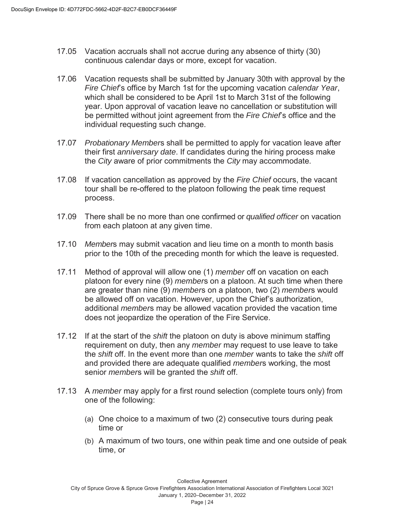- 17.05 Vacation accruals shall not accrue during any absence of thirty (30) continuous calendar days or more, except for vacation.
- 17.06 Vacation requests shall be submitted by January 30th with approval by the *Fire Chief*'s office by March 1st for the upcoming vacation *calendar Year*, which shall be considered to be April 1st to March 31st of the following year. Upon approval of vacation leave no cancellation or substitution will be permitted without joint agreement from the *Fire Chief*'s office and the individual requesting such change.
- 17.07 *Probationary Member*s shall be permitted to apply for vacation leave after their first *anniversary date*. If candidates during the hiring process make the *City* aware of prior commitments the *City* may accommodate.
- 17.08 If vacation cancellation as approved by the *Fire Chief* occurs, the vacant tour shall be re-offered to the platoon following the peak time request process.
- 17.09 There shall be no more than one confirmed or *qualified officer* on vacation from each platoon at any given time.
- 17.10 *Member*s may submit vacation and lieu time on a month to month basis prior to the 10th of the preceding month for which the leave is requested.
- 17.11 Method of approval will allow one (1) *member* off on vacation on each platoon for every nine (9) *member*s on a platoon. At such time when there are greater than nine (9) *member*s on a platoon, two (2) *member*s would be allowed off on vacation. However, upon the Chief's authorization, additional *member*s may be allowed vacation provided the vacation time does not jeopardize the operation of the Fire Service.
- 17.12 If at the start of the *shift* the platoon on duty is above minimum staffing requirement on duty, then any *member* may request to use leave to take the *shift* off. In the event more than one *member* wants to take the *shift* off and provided there are adequate qualified *member*s working, the most senior *member*s will be granted the *shift* off.
- 17.13 A *member* may apply for a first round selection (complete tours only) from one of the following:
	- (a) One choice to a maximum of two (2) consecutive tours during peak time or
	- (b) A maximum of two tours, one within peak time and one outside of peak time, or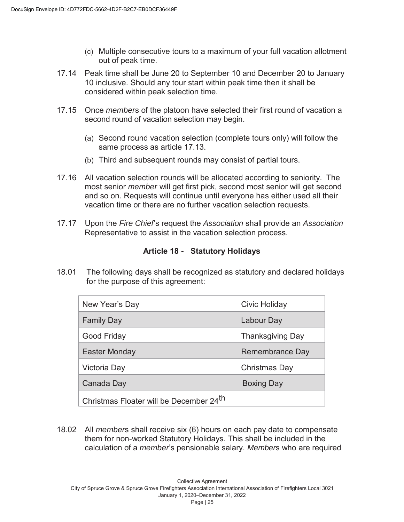- (c) Multiple consecutive tours to a maximum of your full vacation allotment out of peak time.
- 17.14 Peak time shall be June 20 to September 10 and December 20 to January 10 inclusive. Should any tour start within peak time then it shall be considered within peak selection time.
- 17.15 Once *member*s of the platoon have selected their first round of vacation a second round of vacation selection may begin.
	- (a) Second round vacation selection (complete tours only) will follow the same process as article 17.13.
	- (b) Third and subsequent rounds may consist of partial tours.
- 17.16 All vacation selection rounds will be allocated according to seniority. The most senior *member* will get first pick, second most senior will get second and so on. Requests will continue until everyone has either used all their vacation time or there are no further vacation selection requests.
- 17.17 Upon the *Fire Chief*'s request the *Association* shall provide an *Association*  Representative to assist in the vacation selection process.

#### **Article 18 - Statutory Holidays**

18.01 The following days shall be recognized as statutory and declared holidays for the purpose of this agreement:

| New Year's Day                                      | Civic Holiday           |  |  |  |
|-----------------------------------------------------|-------------------------|--|--|--|
| <b>Family Day</b>                                   | Labour Day              |  |  |  |
| <b>Good Friday</b>                                  | <b>Thanksgiving Day</b> |  |  |  |
| Easter Monday                                       | Remembrance Day         |  |  |  |
| Victoria Day                                        | Christmas Day           |  |  |  |
| Canada Day                                          | Boxing Day              |  |  |  |
| Christmas Floater will be December 24 <sup>th</sup> |                         |  |  |  |

18.02 All *member*s shall receive six (6) hours on each pay date to compensate them for non-worked Statutory Holidays. This shall be included in the calculation of a *member*'s pensionable salary. *Member*s who are required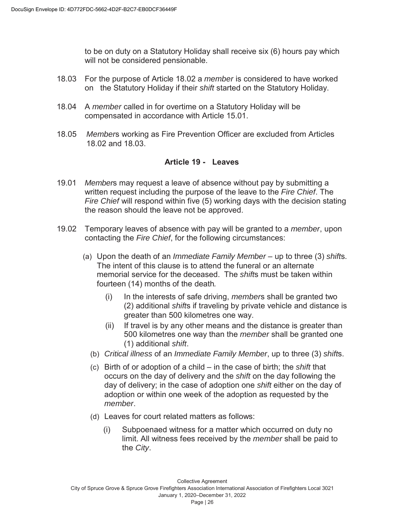to be on duty on a Statutory Holiday shall receive six (6) hours pay which will not be considered pensionable.

- 18.03 For the purpose of Article 18.02 a *member* is considered to have worked on the Statutory Holiday if their *shift* started on the Statutory Holiday.
- 18.04 A *member* called in for overtime on a Statutory Holiday will be compensated in accordance with Article 15.01.
- 18.05 *Member*s working as Fire Prevention Officer are excluded from Articles 18.02 and 18.03.

#### **Article 19 - Leaves**

- 19.01 *Member*s may request a leave of absence without pay by submitting a written request including the purpose of the leave to the *Fire Chief*. The *Fire Chief* will respond within five (5) working days with the decision stating the reason should the leave not be approved.
- 19.02 Temporary leaves of absence with pay will be granted to a *member*, upon contacting the *Fire Chief*, for the following circumstances:
	- (a) Upon the death of an *Immediate Family Member* up to three (3) *shift*s. The intent of this clause is to attend the funeral or an alternate memorial service for the deceased. The *shift*s must be taken within fourteen (14) months of the death*.* 
		- (i) In the interests of safe driving, *member*s shall be granted two (2) additional *shift*s if traveling by private vehicle and distance is greater than 500 kilometres one way.
		- (ii) If travel is by any other means and the distance is greater than 500 kilometres one way than the *member* shall be granted one (1) additional *shift*.
		- (b) *Critical illness* of an *Immediate Family Member*, up to three (3) *shift*s.
		- (c) Birth of or adoption of a child in the case of birth; the *shift* that occurs on the day of delivery and the *shift* on the day following the day of delivery; in the case of adoption one *shift* either on the day of adoption or within one week of the adoption as requested by the *member*.
		- (d) Leaves for court related matters as follows:
			- (i) Subpoenaed witness for a matter which occurred on duty no limit. All witness fees received by the *member* shall be paid to the *City*.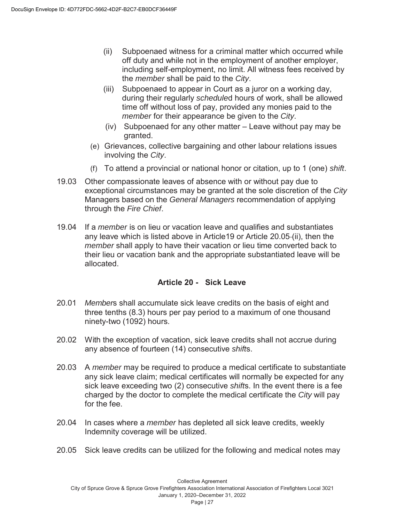- (ii) Subpoenaed witness for a criminal matter which occurred while off duty and while not in the employment of another employer, including self-employment, no limit. All witness fees received by the *member* shall be paid to the *City*.
- (iii) Subpoenaed to appear in Court as a juror on a working day, during their regularly *schedule*d hours of work, shall be allowed time off without loss of pay, provided any monies paid to the *member* for their appearance be given to the *City*.
- (iv) Subpoenaed for any other matter Leave without pay may be granted.
- (e) Grievances, collective bargaining and other labour relations issues involving the *City*.
- (f) To attend a provincial or national honor or citation, up to 1 (one) *shift*.
- 19.03 Other compassionate leaves of absence with or without pay due to exceptional circumstances may be granted at the sole discretion of the *City* Managers based on the *General Managers* recommendation of applying through the *Fire Chief*.
- 19.04 If a *member* is on lieu or vacation leave and qualifies and substantiates any leave which is listed above in Article19 or Article 20.05 (ii), then the *member* shall apply to have their vacation or lieu time converted back to their lieu or vacation bank and the appropriate substantiated leave will be allocated.

#### **Article 20 - Sick Leave**

- 20.01 *Member*s shall accumulate sick leave credits on the basis of eight and three tenths (8.3) hours per pay period to a maximum of one thousand ninety-two (1092) hours.
- 20.02 With the exception of vacation, sick leave credits shall not accrue during any absence of fourteen (14) consecutive *shift*s.
- 20.03 A *member* may be required to produce a medical certificate to substantiate any sick leave claim; medical certificates will normally be expected for any sick leave exceeding two (2) consecutive *shift*s. In the event there is a fee charged by the doctor to complete the medical certificate the *City* will pay for the fee.
- 20.04 In cases where a *member* has depleted all sick leave credits, weekly Indemnity coverage will be utilized.
- 20.05 Sick leave credits can be utilized for the following and medical notes may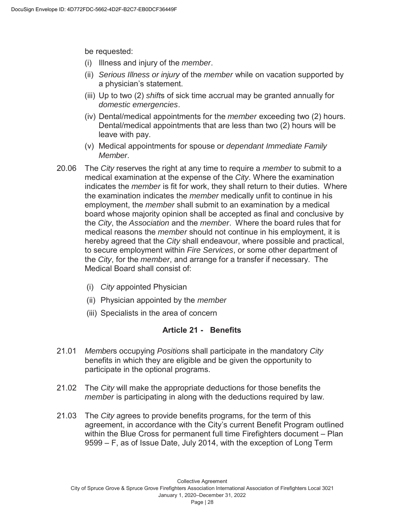be requested:

- (i) Illness and injury of the *member*.
- (ii) *Serious Illness or injury* of the *member* while on vacation supported by a physician's statement.
- (iii) Up to two (2) *shift*s of sick time accrual may be granted annually for *domestic emergencies*.
- (iv) Dental/medical appointments for the *member* exceeding two (2) hours. Dental/medical appointments that are less than two (2) hours will be leave with pay.
- (v) Medical appointments for spouse or *dependant Immediate Family Member*.
- 20.06 The *City* reserves the right at any time to require a *member* to submit to a medical examination at the expense of the *City*. Where the examination indicates the *member* is fit for work, they shall return to their duties. Where the examination indicates the *member* medically unfit to continue in his employment, the *member* shall submit to an examination by a medical board whose majority opinion shall be accepted as final and conclusive by the *City*, the *Association* and the *member*. Where the board rules that for medical reasons the *member* should not continue in his employment, it is hereby agreed that the *City* shall endeavour, where possible and practical, to secure employment within *Fire Services*, or some other department of the *City*, for the *member*, and arrange for a transfer if necessary. The Medical Board shall consist of:
	- (i) *City* appointed Physician
	- (ii) Physician appointed by the *member*
	- (iii) Specialists in the area of concern

#### **Article 21 - Benefits**

- 21.01 *Member*s occupying *Position*s shall participate in the mandatory *City* benefits in which they are eligible and be given the opportunity to participate in the optional programs.
- 21.02 The *City* will make the appropriate deductions for those benefits the *member* is participating in along with the deductions required by law.
- 21.03 The *City* agrees to provide benefits programs, for the term of this agreement, in accordance with the City's current Benefit Program outlined within the Blue Cross for permanent full time Firefighters document – Plan 9599 – F, as of Issue Date, July 2014, with the exception of Long Term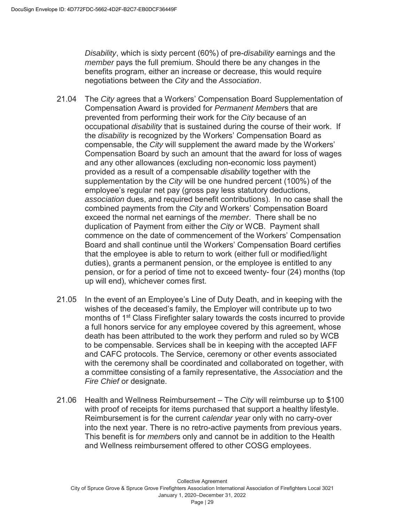*Disability*, which is sixty percent (60%) of pre-*disability* earnings and the *member* pays the full premium. Should there be any changes in the benefits program, either an increase or decrease, this would require negotiations between the *City* and the *Association*.

- 21.04 The *City* agrees that a Workers' Compensation Board Supplementation of Compensation Award is provided for *Permanent Member*s that are prevented from performing their work for the *City* because of an occupational *disability* that is sustained during the course of their work. If the *disability* is recognized by the Workers' Compensation Board as compensable, the *City* will supplement the award made by the Workers' Compensation Board by such an amount that the award for loss of wages and any other allowances (excluding non-economic loss payment) provided as a result of a compensable *disability* together with the supplementation by the *City* will be one hundred percent (100%) of the employee's regular net pay (gross pay less statutory deductions, *association* dues, and required benefit contributions). In no case shall the combined payments from the *City* and Workers' Compensation Board exceed the normal net earnings of the *member*. There shall be no duplication of Payment from either the *City* or WCB. Payment shall commence on the date of commencement of the Workers' Compensation Board and shall continue until the Workers' Compensation Board certifies that the employee is able to return to work (either full or modified/light duties), grants a permanent pension, or the employee is entitled to any pension, or for a period of time not to exceed twenty- four (24) months (top up will end), whichever comes first.
- 21.05 In the event of an Employee's Line of Duty Death, and in keeping with the wishes of the deceased's family, the Employer will contribute up to two months of 1<sup>st</sup> Class Firefighter salary towards the costs incurred to provide a full honors service for any employee covered by this agreement, whose death has been attributed to the work they perform and ruled so by WCB to be compensable. Services shall be in keeping with the accepted IAFF and CAFC protocols. The Service, ceremony or other events associated with the ceremony shall be coordinated and collaborated on together, with a committee consisting of a family representative, the *Association* and the *Fire Chief* or designate.
- 21.06 Health and Wellness Reimbursement The *City* will reimburse up to \$100 with proof of receipts for items purchased that support a healthy lifestyle. Reimbursement is for the current *calendar year* only with no carry-over into the next year. There is no retro-active payments from previous years. This benefit is for *member*s only and cannot be in addition to the Health and Wellness reimbursement offered to other COSG employees.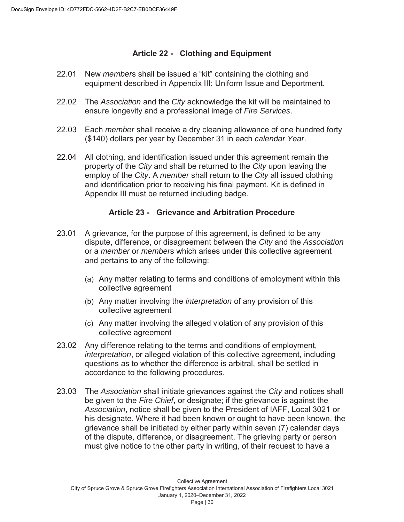#### **Article 22 - Clothing and Equipment**

- 22.01 New *member*s shall be issued a "kit" containing the clothing and equipment described in Appendix III: Uniform Issue and Deportment.
- 22.02 The *Association* and the *City* acknowledge the kit will be maintained to ensure longevity and a professional image of *Fire Services*.
- 22.03 Each *member* shall receive a dry cleaning allowance of one hundred forty (\$140) dollars per year by December 31 in each *calendar Year*.
- 22.04 All clothing, and identification issued under this agreement remain the property of the *City* and shall be returned to the *City* upon leaving the employ of the *City*. A *member* shall return to the *City* all issued clothing and identification prior to receiving his final payment. Kit is defined in Appendix III must be returned including badge.

#### **Article 23 - Grievance and Arbitration Procedure**

- 23.01 A grievance, for the purpose of this agreement, is defined to be any dispute, difference, or disagreement between the *City* and the *Association* or a *member* or *member*s which arises under this collective agreement and pertains to any of the following:
	- (a) Any matter relating to terms and conditions of employment within this collective agreement
	- (b) Any matter involving the *interpretation* of any provision of this collective agreement
	- (c) Any matter involving the alleged violation of any provision of this collective agreement
- 23.02 Any difference relating to the terms and conditions of employment, *interpretation*, or alleged violation of this collective agreement, including questions as to whether the difference is arbitral, shall be settled in accordance to the following procedures.
- 23.03 The *Association* shall initiate grievances against the *City* and notices shall be given to the *Fire Chief*, or designate; if the grievance is against the *Association*, notice shall be given to the President of IAFF, Local 3021 or his designate. Where it had been known or ought to have been known, the grievance shall be initiated by either party within seven (7) calendar days of the dispute, difference, or disagreement. The grieving party or person must give notice to the other party in writing, of their request to have a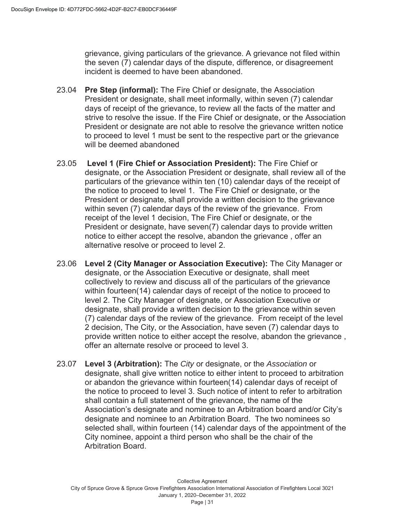grievance, giving particulars of the grievance. A grievance not filed within the seven (7) calendar days of the dispute, difference, or disagreement incident is deemed to have been abandoned.

- 23.04 **Pre Step (informal):** The Fire Chief or designate, the Association President or designate, shall meet informally, within seven (7) calendar days of receipt of the grievance, to review all the facts of the matter and strive to resolve the issue. If the Fire Chief or designate, or the Association President or designate are not able to resolve the grievance written notice to proceed to level 1 must be sent to the respective part or the grievance will be deemed abandoned
- 23.05 **Level 1 (Fire Chief or Association President):** The Fire Chief or designate, or the Association President or designate, shall review all of the particulars of the grievance within ten (10) calendar days of the receipt of the notice to proceed to level 1. The Fire Chief or designate, or the President or designate, shall provide a written decision to the grievance within seven (7) calendar days of the review of the grievance. From receipt of the level 1 decision, The Fire Chief or designate, or the President or designate, have seven(7) calendar days to provide written notice to either accept the resolve, abandon the grievance , offer an alternative resolve or proceed to level 2.
- 23.06 **Level 2 (City Manager or Association Executive):** The City Manager or designate, or the Association Executive or designate, shall meet collectively to review and discuss all of the particulars of the grievance within fourteen(14) calendar days of receipt of the notice to proceed to level 2. The City Manager of designate, or Association Executive or designate, shall provide a written decision to the grievance within seven (7) calendar days of the review of the grievance. From receipt of the level 2 decision, The City, or the Association, have seven (7) calendar days to provide written notice to either accept the resolve, abandon the grievance , offer an alternate resolve or proceed to level 3.
- 23.07 **Level 3 (Arbitration):** The *City* or designate, or the *Association* or designate, shall give written notice to either intent to proceed to arbitration or abandon the grievance within fourteen(14) calendar days of receipt of the notice to proceed to level 3. Such notice of intent to refer to arbitration shall contain a full statement of the grievance, the name of the Association's designate and nominee to an Arbitration board and/or City's designate and nominee to an Arbitration Board. The two nominees so selected shall, within fourteen (14) calendar days of the appointment of the City nominee, appoint a third person who shall be the chair of the Arbitration Board.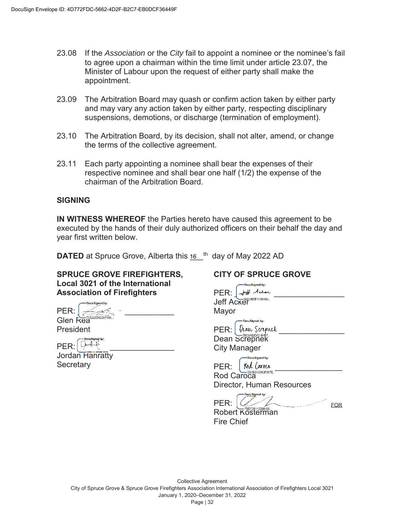- 23.08 If the *Association* or the *City* fail to appoint a nominee or the nominee's fail to agree upon a chairman within the time limit under article 23.07, the Minister of Labour upon the request of either party shall make the appointment.
- 23.09 The Arbitration Board may quash or confirm action taken by either party and may vary any action taken by either party, respecting disciplinary suspensions, demotions, or discharge (termination of employment).
- 23.10 The Arbitration Board, by its decision, shall not alter, amend, or change the terms of the collective agreement.
- 23.11 Each party appointing a nominee shall bear the expenses of their respective nominee and shall bear one half (1/2) the expense of the chairman of the Arbitration Board.

#### **SIGNING**

**IN WITNESS WHEREOF** the Parties hereto have caused this agreement to be executed by the hands of their duly authorized officers on their behalf the day and year first written below.

**DATED** at Spruce Grove, Alberta this 16 <sup>th</sup> day of May 2022 AD

#### **SPRUCE GROVE FIREFIGHTERS, Local 3021 of the International Association of Firefighters**

DocuSigned by: PER: \_\_\_\_\_\_\_\_\_\_\_\_\_\_\_\_\_\_\_\_\_\_ Glen Rea

President

 $PER: |$   $Q \rightarrow 4$ 

Jordan Hanratty **Secretary** 

#### **CITY OF SPRUCE GROVE**

| DocuSigned by:<br>PER:<br>Jeff Acker<br>Mayor                                                             |
|-----------------------------------------------------------------------------------------------------------|
| DacuSigned by:<br>Dean Screpnek<br>Ficoraoce219457<br>PER:<br><b>Dean Screpnek</b><br><b>City Manager</b> |
| DocuSigned by:<br>Rod Caroca<br>PER:<br>0D80F347F<br>Rod Caroca<br>Director, Human Resources              |
| DacuSigned by:<br>PER:<br>DDE3B143298469<br>Robert Kosterm<br><b>Fire Chief</b>                           |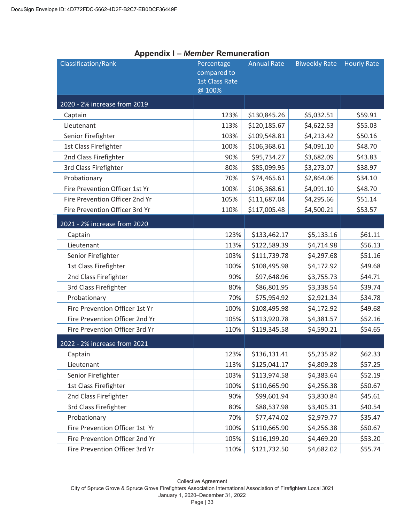| <b>Classification/Rank</b>     | Percentage<br>compared to<br><b>1st Class Rate</b><br>@ 100% | <b>Annual Rate</b> | <b>Biweekly Rate</b> | <b>Hourly Rate</b> |
|--------------------------------|--------------------------------------------------------------|--------------------|----------------------|--------------------|
| 2020 - 2% increase from 2019   |                                                              |                    |                      |                    |
| Captain                        | 123%                                                         | \$130,845.26       | \$5,032.51           | \$59.91            |
| Lieutenant                     | 113%                                                         | \$120,185.67       | \$4,622.53           | \$55.03            |
| Senior Firefighter             | 103%                                                         | \$109,548.81       | \$4,213.42           | \$50.16            |
| 1st Class Firefighter          | 100%                                                         | \$106,368.61       | \$4,091.10           | \$48.70            |
| 2nd Class Firefighter          | 90%                                                          | \$95,734.27        | \$3,682.09           | \$43.83            |
| 3rd Class Firefighter          | 80%                                                          | \$85,099.95        | \$3,273.07           | \$38.97            |
| Probationary                   | 70%                                                          | \$74,465.61        | \$2,864.06           | \$34.10            |
| Fire Prevention Officer 1st Yr | 100%                                                         | \$106,368.61       | \$4,091.10           | \$48.70            |
| Fire Prevention Officer 2nd Yr | 105%                                                         | \$111,687.04       | \$4,295.66           | \$51.14            |
| Fire Prevention Officer 3rd Yr | 110%                                                         | \$117,005.48       | \$4,500.21           | \$53.57            |
| 2021 - 2% increase from 2020   |                                                              |                    |                      |                    |
| Captain                        | 123%                                                         | \$133,462.17       | \$5,133.16           | \$61.11            |
| Lieutenant                     | 113%                                                         | \$122,589.39       | \$4,714.98           | \$56.13            |
| Senior Firefighter             | 103%                                                         | \$111,739.78       | \$4,297.68           | \$51.16            |
| 1st Class Firefighter          | 100%                                                         | \$108,495.98       | \$4,172.92           | \$49.68            |
| 2nd Class Firefighter          | 90%                                                          | \$97,648.96        | \$3,755.73           | \$44.71            |
| 3rd Class Firefighter          | 80%                                                          | \$86,801.95        | \$3,338.54           | \$39.74            |
| Probationary                   | 70%                                                          | \$75,954.92        | \$2,921.34           | \$34.78            |
| Fire Prevention Officer 1st Yr | 100%                                                         | \$108,495.98       | \$4,172.92           | \$49.68            |
| Fire Prevention Officer 2nd Yr | 105%                                                         | \$113,920.78       | \$4,381.57           | \$52.16            |
| Fire Prevention Officer 3rd Yr | 110%                                                         | \$119,345.58       | \$4,590.21           | \$54.65            |
| 2022 - 2% increase from 2021   |                                                              |                    |                      |                    |
| Captain                        | 123%                                                         | \$136,131.41       | \$5,235.82           | \$62.33            |
| Lieutenant                     | 113%                                                         | \$125,041.17       | \$4,809.28           | \$57.25            |
| Senior Firefighter             | 103%                                                         | \$113,974.58       | \$4,383.64           | \$52.19            |
| 1st Class Firefighter          | 100%                                                         | \$110,665.90       | \$4,256.38           | \$50.67            |
| 2nd Class Firefighter          | 90%                                                          | \$99,601.94        | \$3,830.84           | \$45.61            |
| 3rd Class Firefighter          | 80%                                                          | \$88,537.98        | \$3,405.31           | \$40.54            |
| Probationary                   | 70%                                                          | \$77,474.02        | \$2,979.77           | \$35.47            |
| Fire Prevention Officer 1st Yr | 100%                                                         | \$110,665.90       | \$4,256.38           | \$50.67            |
| Fire Prevention Officer 2nd Yr | 105%                                                         | \$116,199.20       | \$4,469.20           | \$53.20            |
| Fire Prevention Officer 3rd Yr | 110%                                                         | \$121,732.50       | \$4,682.02           | \$55.74            |

#### **Appendix I –** *Member* **Remuneration**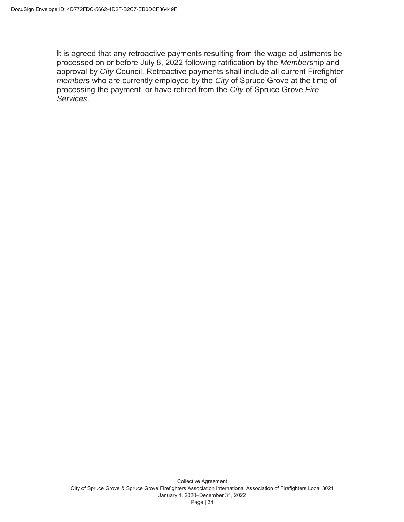It is agreed that any retroactive payments resulting from the wage adjustments be processed on or before July 8, 2022 following ratification by the *Member*ship and approval by *City* Council. Retroactive payments shall include all current Firefighter *member*s who are currently employed by the *City* of Spruce Grove at the time of processing the payment, or have retired from the *City* of Spruce Grove *Fire Services*.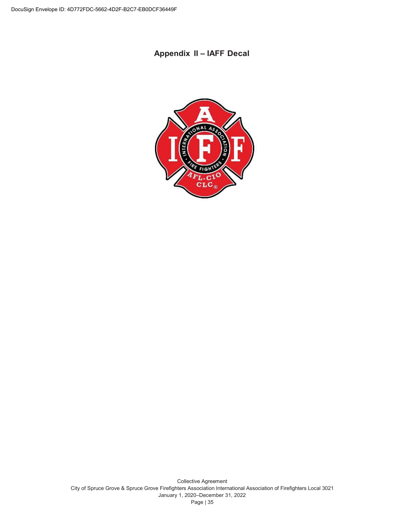## **Appendix II – IAFF Decal**

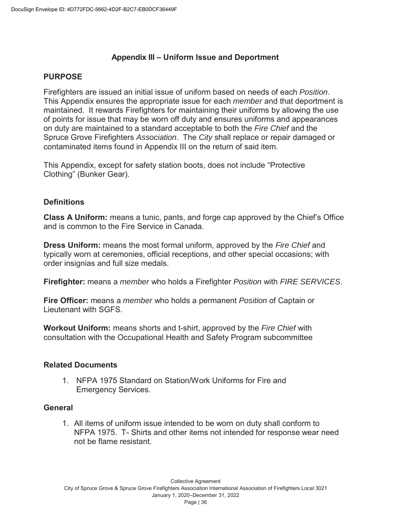#### **Appendix III – Uniform Issue and Deportment**

#### **PURPOSE**

Firefighters are issued an initial issue of uniform based on needs of each *Position*. This Appendix ensures the appropriate issue for each *member* and that deportment is maintained. It rewards Firefighters for maintaining their uniforms by allowing the use of points for issue that may be worn off duty and ensures uniforms and appearances on duty are maintained to a standard acceptable to both the *Fire Chief* and the Spruce Grove Firefighters *Association*. The *City* shall replace or repair damaged or contaminated items found in Appendix III on the return of said item.

This Appendix, except for safety station boots, does not include "Protective Clothing" (Bunker Gear).

#### **Definitions**

**Class A Uniform:** means a tunic, pants, and forge cap approved by the Chief's Office and is common to the Fire Service in Canada.

**Dress Uniform:** means the most formal uniform, approved by the *Fire Chief* and typically worn at ceremonies, official receptions, and other special occasions; with order insignias and full size medals.

**Firefighter:** means a *member* who holds a Firefighter *Position* with *FIRE SERVICES*.

**Fire Officer:** means a *member* who holds a permanent *Position* of Captain or Lieutenant with SGFS.

**Workout Uniform:** means shorts and t-shirt, approved by the *Fire Chief* with consultation with the Occupational Health and Safety Program subcommittee

#### **Related Documents**

1. NFPA 1975 Standard on Station/Work Uniforms for Fire and Emergency Services.

#### **General**

1. All items of uniform issue intended to be worn on duty shall conform to NFPA 1975. T- Shirts and other items not intended for response wear need not be flame resistant.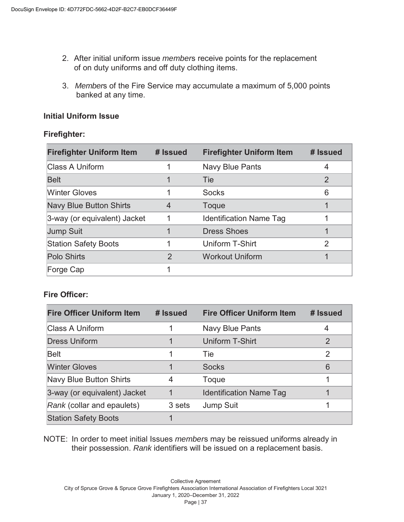- 2. After initial uniform issue *member*s receive points for the replacement of on duty uniforms and off duty clothing items.
- 3. *Member*s of the Fire Service may accumulate a maximum of 5,000 points banked at any time.

#### **Initial Uniform Issue**

#### **Firefighter:**

| <b>Firefighter Uniform Item</b> | # Issued       | <b>Firefighter Uniform Item</b> | # Issued      |
|---------------------------------|----------------|---------------------------------|---------------|
| Class A Uniform                 |                | Navy Blue Pants                 | 4             |
| <b>Belt</b>                     |                | <b>Tie</b>                      | $\mathcal{P}$ |
| <b>Winter Gloves</b>            |                | <b>Socks</b>                    | 6             |
| <b>Navy Blue Button Shirts</b>  | 4              | Toque                           |               |
| 3-way (or equivalent) Jacket    |                | <b>Identification Name Tag</b>  |               |
| <b>Jump Suit</b>                |                | <b>Dress Shoes</b>              |               |
| <b>Station Safety Boots</b>     |                | Uniform T-Shirt                 | 2             |
| <b>Polo Shirts</b>              | $\overline{2}$ | <b>Workout Uniform</b>          |               |
| Forge Cap                       |                |                                 |               |

## **Fire Officer:**

| <b>Fire Officer Uniform Item</b> | # Issued | <b>Fire Officer Uniform Item</b> | # Issued |
|----------------------------------|----------|----------------------------------|----------|
| Class A Uniform                  |          | <b>Navy Blue Pants</b>           | 4        |
| <b>Dress Uniform</b>             |          | Uniform T-Shirt                  | 2        |
| Belt                             |          | Tie                              | 2        |
| <b>Winter Gloves</b>             |          | <b>Socks</b>                     | 6        |
| Navy Blue Button Shirts          | 4        | Toque                            |          |
| 3-way (or equivalent) Jacket     |          | <b>Identification Name Tag</b>   |          |
| Rank (collar and epaulets)       | 3 sets   | <b>Jump Suit</b>                 |          |
| <b>Station Safety Boots</b>      |          |                                  |          |

NOTE: In order to meet initial Issues *member*s may be reissued uniforms already in their possession. *Rank* identifiers will be issued on a replacement basis.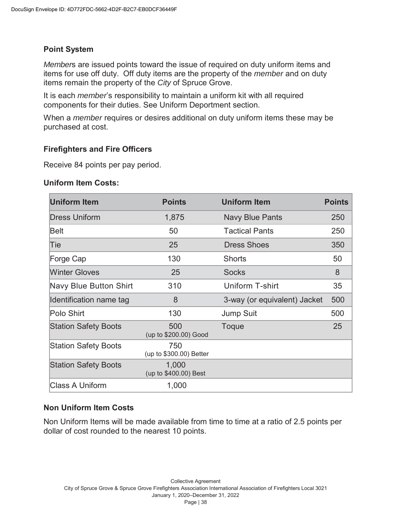#### **Point System**

*Member*s are issued points toward the issue of required on duty uniform items and items for use off duty. Off duty items are the property of the *member* and on duty items remain the property of the *City* of Spruce Grove.

It is each *member*'s responsibility to maintain a uniform kit with all required components for their duties. See Uniform Deportment section.

When a *member* requires or desires additional on duty uniform items these may be purchased at cost.

#### **Firefighters and Fire Officers**

Receive 84 points per pay period.

#### **Uniform Item Costs:**

| <b>Uniform Item</b>         | <b>Points</b>                  | <b>Uniform Item</b>          | <b>Points</b> |
|-----------------------------|--------------------------------|------------------------------|---------------|
| <b>Dress Uniform</b>        | 1,875                          | <b>Navy Blue Pants</b>       | 250           |
| Belt                        | 50                             | <b>Tactical Pants</b>        | 250           |
| Tie                         | 25                             | <b>Dress Shoes</b>           | 350           |
| Forge Cap                   | 130                            | <b>Shorts</b>                | 50            |
| <b>Winter Gloves</b>        | 25                             | <b>Socks</b>                 | 8             |
| Navy Blue Button Shirt      | 310                            | Uniform T-shirt              | 35            |
| Identification name tag     | 8                              | 3-way (or equivalent) Jacket | 500           |
| Polo Shirt                  | 130                            | <b>Jump Suit</b>             | 500           |
| <b>Station Safety Boots</b> | 500<br>(up to \$200.00) Good   | Toque                        | 25            |
| <b>Station Safety Boots</b> | 750<br>(up to \$300.00) Better |                              |               |
| <b>Station Safety Boots</b> | 1,000<br>(up to \$400.00) Best |                              |               |
| <b>Class A Uniform</b>      | 1,000                          |                              |               |

#### **Non Uniform Item Costs**

Non Uniform Items will be made available from time to time at a ratio of 2.5 points per dollar of cost rounded to the nearest 10 points.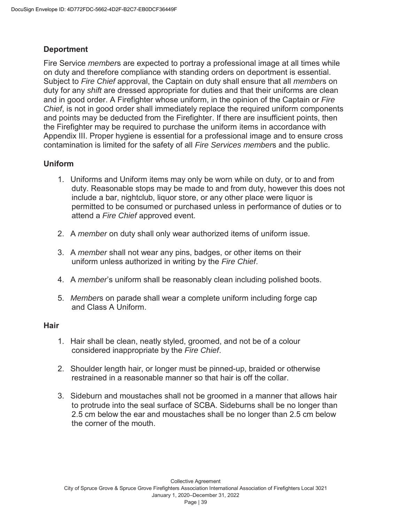#### **Deportment**

Fire Service *member*s are expected to portray a professional image at all times while on duty and therefore compliance with standing orders on deportment is essential. Subject to *Fire Chief* approval, the Captain on duty shall ensure that all *member*s on duty for any *shift* are dressed appropriate for duties and that their uniforms are clean and in good order. A Firefighter whose uniform, in the opinion of the Captain or *Fire Chief*, is not in good order shall immediately replace the required uniform components and points may be deducted from the Firefighter. If there are insufficient points, then the Firefighter may be required to purchase the uniform items in accordance with Appendix III. Proper hygiene is essential for a professional image and to ensure cross contamination is limited for the safety of all *Fire Services member*s and the public.

#### **Uniform**

- 1. Uniforms and Uniform items may only be worn while on duty, or to and from duty. Reasonable stops may be made to and from duty, however this does not include a bar, nightclub, liquor store, or any other place were liquor is permitted to be consumed or purchased unless in performance of duties or to attend a *Fire Chief* approved event.
- 2. A *member* on duty shall only wear authorized items of uniform issue.
- 3. A *member* shall not wear any pins, badges, or other items on their uniform unless authorized in writing by the *Fire Chief*.
- 4. A *member*'s uniform shall be reasonably clean including polished boots.
- 5. *Member*s on parade shall wear a complete uniform including forge cap and Class A Uniform.

#### **Hair**

- 1. Hair shall be clean, neatly styled, groomed, and not be of a colour considered inappropriate by the *Fire Chief*.
- 2. Shoulder length hair, or longer must be pinned-up, braided or otherwise restrained in a reasonable manner so that hair is off the collar.
- 3. Sideburn and moustaches shall not be groomed in a manner that allows hair to protrude into the seal surface of SCBA. Sideburns shall be no longer than 2.5 cm below the ear and moustaches shall be no longer than 2.5 cm below the corner of the mouth.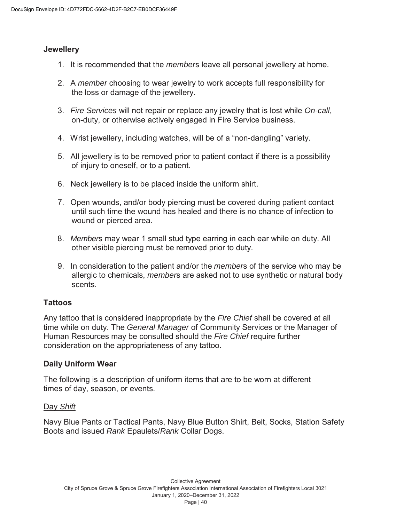#### **Jewellery**

- 1. It is recommended that the *member*s leave all personal jewellery at home.
- 2. A *member* choosing to wear jewelry to work accepts full responsibility for the loss or damage of the jewellery.
- 3. *Fire Services* will not repair or replace any jewelry that is lost while *On-call*, on-duty, or otherwise actively engaged in Fire Service business.
- 4. Wrist jewellery, including watches, will be of a "non-dangling" variety.
- 5. All jewellery is to be removed prior to patient contact if there is a possibility of injury to oneself, or to a patient.
- 6. Neck jewellery is to be placed inside the uniform shirt.
- 7. Open wounds, and/or body piercing must be covered during patient contact until such time the wound has healed and there is no chance of infection to wound or pierced area.
- 8. *Member*s may wear 1 small stud type earring in each ear while on duty. All other visible piercing must be removed prior to duty.
- 9. In consideration to the patient and/or the *member*s of the service who may be allergic to chemicals, *member*s are asked not to use synthetic or natural body scents.

#### **Tattoos**

Any tattoo that is considered inappropriate by the *Fire Chief* shall be covered at all time while on duty. The *General Manager* of Community Services or the Manager of Human Resources may be consulted should the *Fire Chief* require further consideration on the appropriateness of any tattoo.

#### **Daily Uniform Wear**

The following is a description of uniform items that are to be worn at different times of day, season, or events.

#### Day *Shift*

Navy Blue Pants or Tactical Pants, Navy Blue Button Shirt, Belt, Socks, Station Safety Boots and issued *Rank* Epaulets/*Rank* Collar Dogs.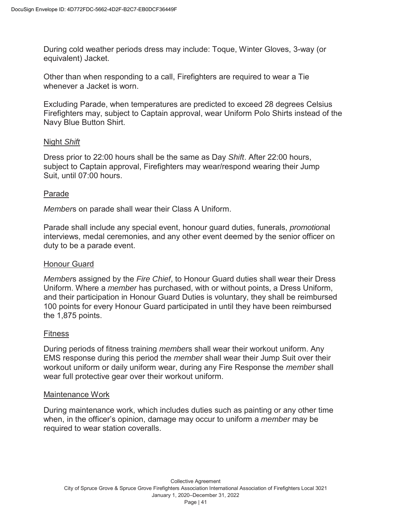During cold weather periods dress may include: Toque, Winter Gloves, 3-way (or equivalent) Jacket.

Other than when responding to a call, Firefighters are required to wear a Tie whenever a Jacket is worn.

Excluding Parade, when temperatures are predicted to exceed 28 degrees Celsius Firefighters may, subject to Captain approval, wear Uniform Polo Shirts instead of the Navy Blue Button Shirt.

#### Night *Shift*

Dress prior to 22:00 hours shall be the same as Day *Shift*. After 22:00 hours, subject to Captain approval, Firefighters may wear/respond wearing their Jump Suit, until 07:00 hours.

#### Parade

*Member*s on parade shall wear their Class A Uniform.

Parade shall include any special event, honour guard duties, funerals, *promotion*al interviews, medal ceremonies, and any other event deemed by the senior officer on duty to be a parade event.

#### Honour Guard

*Member*s assigned by the *Fire Chief*, to Honour Guard duties shall wear their Dress Uniform. Where a *member* has purchased, with or without points, a Dress Uniform, and their participation in Honour Guard Duties is voluntary, they shall be reimbursed 100 points for every Honour Guard participated in until they have been reimbursed the 1,875 points.

#### Fitness

During periods of fitness training *member*s shall wear their workout uniform. Any EMS response during this period the *member* shall wear their Jump Suit over their workout uniform or daily uniform wear, during any Fire Response the *member* shall wear full protective gear over their workout uniform.

#### Maintenance Work

During maintenance work, which includes duties such as painting or any other time when, in the officer's opinion, damage may occur to uniform a *member* may be required to wear station coveralls.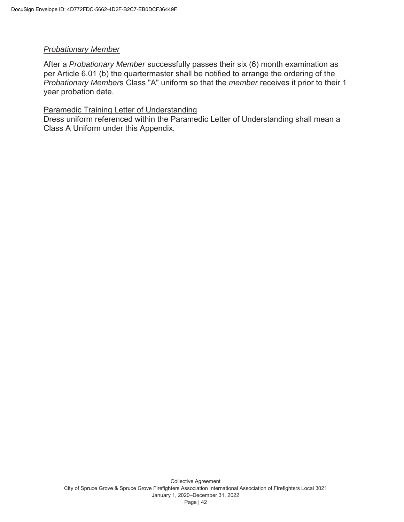#### *Probationary Member*

After a *Probationary Member* successfully passes their six (6) month examination as per Article 6.01 (b) the quartermaster shall be notified to arrange the ordering of the *Probationary Member*s Class "A" uniform so that the *member* receives it prior to their 1 year probation date.

#### Paramedic Training Letter of Understanding

Dress uniform referenced within the Paramedic Letter of Understanding shall mean a Class A Uniform under this Appendix.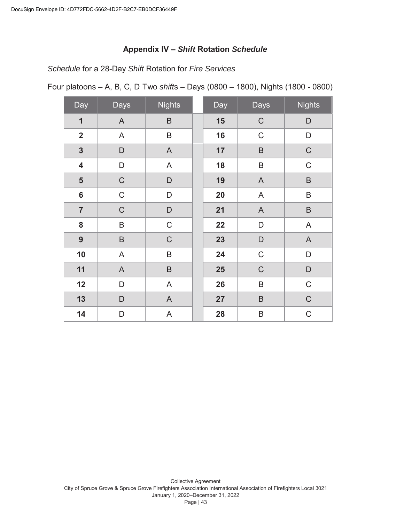#### **Appendix IV –** *Shift* **Rotation** *Schedule*

*Schedule* for a 28-Day *Shift* Rotation for *Fire Services*

Four platoons – A, B, C, D Two *shift*s – Days (0800 – 1800), Nights (1800 - 0800)

| Day                     | Days        | <b>Nights</b> | Day | <b>Days</b>  | <b>Nights</b> |
|-------------------------|-------------|---------------|-----|--------------|---------------|
| 1                       | A           | $\sf B$       | 15  | $\mathsf C$  | D             |
| $\overline{2}$          | A           | $\sf B$       | 16  | $\mathsf C$  | D             |
| $\overline{\mathbf{3}}$ | D           | $\mathsf{A}$  | 17  | $\sf B$      | $\mathsf C$   |
| $\overline{\mathbf{4}}$ | D           | $\mathsf{A}$  | 18  | $\sf B$      | $\mathsf C$   |
| 5                       | $\mathsf C$ | $\mathsf D$   | 19  | $\mathsf{A}$ | $\sf B$       |
| $6\phantom{a}$          | $\mathsf C$ | $\mathsf{D}%$ | 20  | A            | B             |
| $\overline{7}$          | $\mathsf C$ | $\mathsf D$   | 21  | $\mathsf{A}$ | $\sf B$       |
| 8                       | B           | $\mathsf C$   | 22  | D            | A             |
| 9                       | $\sf B$     | $\mathsf C$   | 23  | D            | A             |
| 10                      | A           | $\sf B$       | 24  | $\mathsf C$  | D             |
| 11                      | $\mathsf A$ | $\sf B$       | 25  | $\mathsf C$  | D             |
| 12                      | D           | A             | 26  | $\sf B$      | $\mathsf C$   |
| 13                      | D           | $\mathsf{A}$  | 27  | $\sf B$      | $\mathsf C$   |
| 14                      | D           | A             | 28  | $\sf B$      | $\mathsf C$   |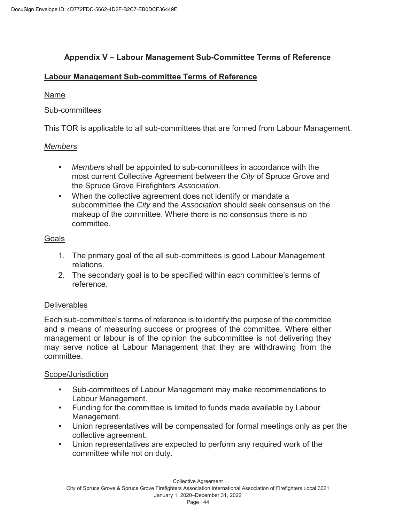#### **Appendix V – Labour Management Sub-Committee Terms of Reference**

#### **Labour Management Sub-committee Terms of Reference**

#### Name

#### Sub-committees

This TOR is applicable to all sub-committees that are formed from Labour Management.

#### *Member*s

- *Member*s shall be appointed to sub-committees in accordance with the most current Collective Agreement between the *City* of Spruce Grove and the Spruce Grove Firefighters *Association*.
- When the collective agreement does not identify or mandate a subcommittee the *City* and the *Association* should seek consensus on the makeup of the committee. Where there is no consensus there is no committee.

#### Goals

- 1. The primary goal of the all sub-committees is good Labour Management relations.
- 2. The secondary goal is to be specified within each committee's terms of reference.

#### **Deliverables**

Each sub-committee's terms of reference is to identify the purpose of the committee and a means of measuring success or progress of the committee. Where either management or labour is of the opinion the subcommittee is not delivering they may serve notice at Labour Management that they are withdrawing from the committee.

#### Scope/Jurisdiction

- Sub-committees of Labour Management may make recommendations to Labour Management.
- Funding for the committee is limited to funds made available by Labour Management.
- Union representatives will be compensated for formal meetings only as per the collective agreement.
- Union representatives are expected to perform any required work of the committee while not on duty.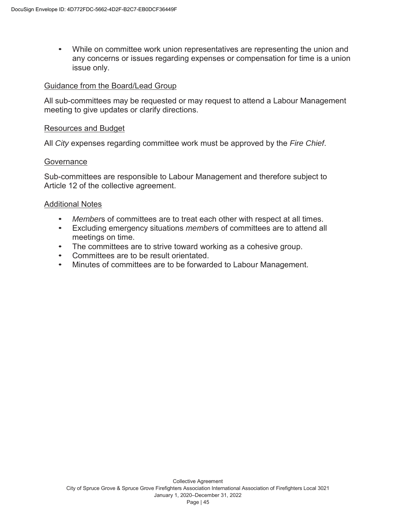• While on committee work union representatives are representing the union and any concerns or issues regarding expenses or compensation for time is a union issue only.

#### Guidance from the Board/Lead Group

All sub-committees may be requested or may request to attend a Labour Management meeting to give updates or clarify directions.

#### Resources and Budget

All *City* expenses regarding committee work must be approved by the *Fire Chief*.

#### **Governance**

Sub-committees are responsible to Labour Management and therefore subject to Article 12 of the collective agreement.

#### Additional Notes

- *Member*s of committees are to treat each other with respect at all times.
- Excluding emergency situations *member*s of committees are to attend all meetings on time.
- The committees are to strive toward working as a cohesive group.
- Committees are to be result orientated.
- Minutes of committees are to be forwarded to Labour Management.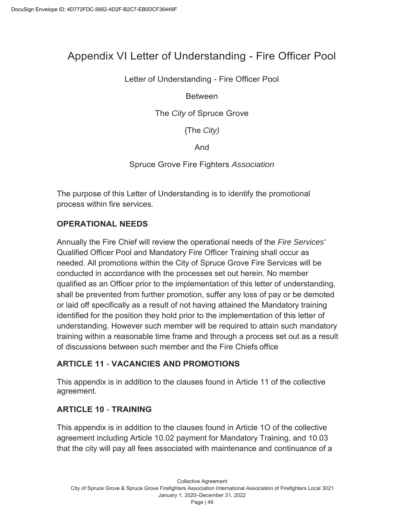# Appendix VI Letter of Understanding - Fire Officer Pool

Letter of Understanding - Fire Officer Pool

Between

The *City* of Spruce Grove

{The *City)* 

And

Spruce Grove Fire Fighters *Association* 

The purpose of this Letter of Understanding is to identify the promotional process within fire services.

## **OPERATIONAL NEEDS**

Annually the Fire Chief will review the operational needs of the *Fire Services'*  Qualified Officer Pool and Mandatory Fire Officer Training shall occur as needed. All promotions within the City of Spruce Grove Fire Services will be conducted in accordance with the processes set out herein. No member qualified as an Officer prior to the implementation of this letter of understanding, shall be prevented from further promotion, suffer any loss of pay or be demoted or laid off specifically as a result of not having attained the Mandatory training identified for the position they hold prior to the implementation of this letter of understanding. However such member will be required to attain such mandatory training within a reasonable time frame and through a process set out as a result of discussions between such member and the Fire Chiefs office

## **ARTICLE 11** - **VACANCIES AND PROMOTIONS**

This appendix is in addition to the clauses found in Article 11 of the collective agreement.

## **ARTICLE 10** - **TRAINING**

This appendix is in addition to the clauses found in Article 1O of the collective agreement including Article 10.02 payment for Mandatory Training, and 10.03 that the city will pay all fees associated with maintenance and continuance of a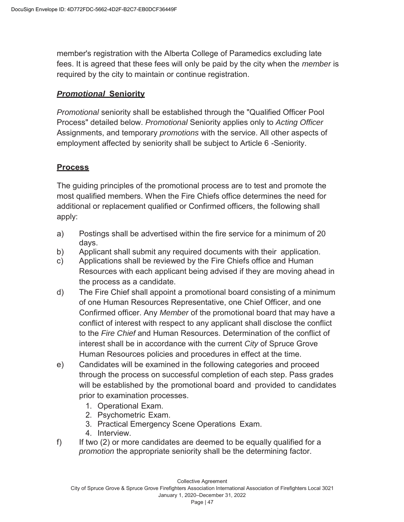member's registration with the Alberta College of Paramedics excluding late fees. It is agreed that these fees will only be paid by the city when the *member* is required by the city to maintain or continue registration.

#### *Promotional* **Seniority**

*Promotional* seniority shall be established through the "Qualified Officer Pool Process" detailed below. *Promotional* Seniority applies only to *Acting Officer*  Assignments, and temporary *promotions* with the service. All other aspects of employment affected by seniority shall be subject to Article 6 -Seniority.

#### **Process**

The guiding principles of the promotional process are to test and promote the most qualified members. When the Fire Chiefs office determines the need for additional or replacement qualified or Confirmed officers, the following shall apply:

- a) Postings shall be advertised within the fire service for a minimum of 20 days.
- b) Applicant shall submit any required documents with their application.
- c) Applications shall be reviewed by the Fire Chiefs office and Human Resources with each applicant being advised if they are moving ahead in the process as a candidate.
- d) The Fire Chief shall appoint a promotional board consisting of a minimum of one Human Resources Representative, one Chief Officer, and one Confirmed officer. Any *Member* of the promotional board that may have a conflict of interest with respect to any applicant shall disclose the conflict to the *Fire Chief* and Human Resources. Determination of the conflict of interest shall be in accordance with the current *City* of Spruce Grove Human Resources policies and procedures in effect at the time.
- e) Candidates will be examined in the following categories and proceed through the process on successful completion of each step. Pass grades will be established by the promotional board and ·provided to candidates prior to examination processes.
	- 1. Operational Exam.
	- 2. Psychometric Exam.
	- 3. Practical Emergency Scene Operations Exam.
	- 4. Interview.
- f) If two (2) or more candidates are deemed to be equally qualified for a *promotion* the appropriate seniority shall be the determining factor.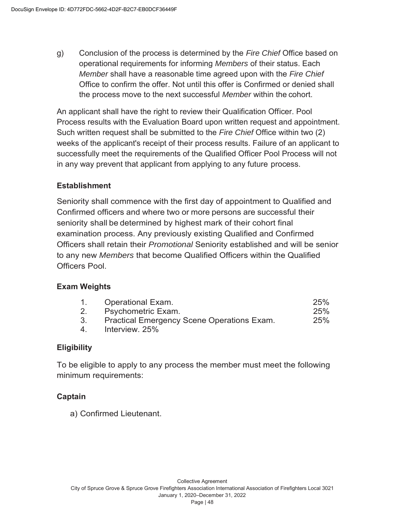g) Conclusion of the process is determined by the *Fire Chief* Office based on operational requirements for informing *Members* of their status. Each *Member* shall have a reasonable time agreed upon with the *Fire Chief*  Office to confirm the offer. Not until this offer is Confirmed or denied shall the process move to the next successful *Member* within the cohort.

An applicant shall have the right to review their Qualification Officer. Pool Process results with the Evaluation Board upon written request and appointment. Such written request shall be submitted to the *Fire Chief* Office within two (2) weeks of the applicant's receipt of their process results. Failure of an applicant to successfully meet the requirements of the Qualified Officer Pool Process will not in any way prevent that applicant from applying to any future process.

#### **Establishment**

Seniority shall commence with the first day of appointment to Qualified and Confirmed officers and where two or more persons are successful their seniority shall be determined by highest mark of their cohort final examination process. Any previously existing Qualified and Confirmed Officers shall retain their *Promotional* Seniority established and will be senior to any new *Members* that become Qualified Officers within the Qualified Officers Pool.

#### **Exam Weights**

| 1. | <b>Operational Exam.</b>                          | 25% |
|----|---------------------------------------------------|-----|
| 2. | <b>Psychometric Exam.</b>                         | 25% |
| 3. | <b>Practical Emergency Scene Operations Exam.</b> | 25% |
| 4. | Interview. 25%                                    |     |

#### **Eligibility**

To be eligible to apply to any process the member must meet the following minimum requirements:

#### **Captain**

a) Confirmed Lieutenant.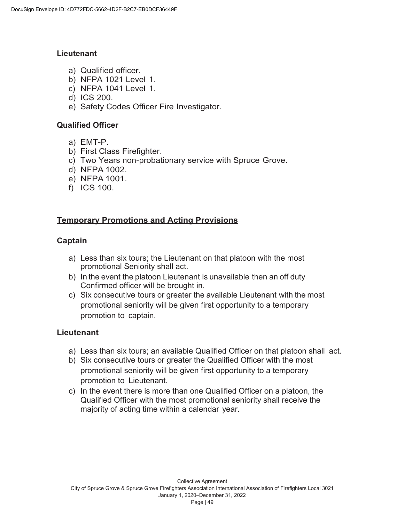#### **Lieutenant**

- a) Qualified officer.
- b) NFPA 1021 Level 1.
- c) NFPA 1041 Level 1.
- d) ICS 200.
- e) Safety Codes Officer Fire Investigator.

#### **Qualified Officer**

- a) EMT-P.
- b) First Class Firefighter.
- c) Two Years non-probationary service with Spruce Grove.
- d) NFPA 1002.
- e) NFPA 1001.
- f) ICS 100.

## **Temporary Promotions and Acting Provisions**

#### **Captain**

- a) Less than six tours; the Lieutenant on that platoon with the most promotional Seniority shall act.
- b) In the event the platoon Lieutenant is unavailable then an off duty Confirmed officer will be brought in.
- c) Six consecutive tours or greater the available Lieutenant with the most promotional seniority will be given first opportunity to a temporary promotion to captain.

#### **Lieutenant**

- a) Less than six tours; an available Qualified Officer on that platoon shall act.
- b) Six consecutive tours or greater the Qualified Officer with the most promotional seniority will be given first opportunity to a temporary promotion to Lieutenant.
- c) In the event there is more than one Qualified Officer on a platoon, the Qualified Officer with the most promotional seniority shall receive the majority of acting time within a calendar year.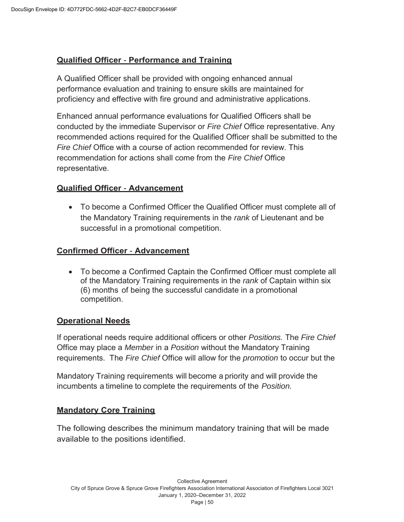#### **Qualified Officer** - **Performance and Training**

A Qualified Officer shall be provided with ongoing enhanced annual performance evaluation and training to ensure skills are maintained for proficiency and effective with fire ground and administrative applications.

Enhanced annual performance evaluations for Qualified Officers shall be conducted by the immediate Supervisor or *Fire Chief* Office representative. Any recommended actions required for the Qualified Officer shall be submitted to the *Fire Chief* Office with a course of action recommended for review. This recommendation for actions shall come from the *Fire Chief* Office representative.

#### **Qualified Officer** - **Advancement**

• To become a Confirmed Officer the Qualified Officer must complete all of the Mandatory Training requirements in the *rank* of Lieutenant and be successful in a promotional competition.

#### **Confirmed Officer** - **Advancement**

• To become a Confirmed Captain the Confirmed Officer must complete all of the Mandatory Training requirements in the *rank* of Captain within six (6) months of being the successful candidate in a promotional competition.

#### **Operational Needs**

If operational needs require additional officers or other *Positions.* The *Fire Chief*  Office may place a *Member* in a *Position* without the Mandatory Training requirements. The *Fire Chief* Office will allow for the *promotion* to occur but the

Mandatory Training requirements will become a priority and will provide the incumbents a timeline to complete the requirements of the *Position.* 

#### **Mandatory Core Training**

The following describes the minimum mandatory training that will be made available to the positions identified.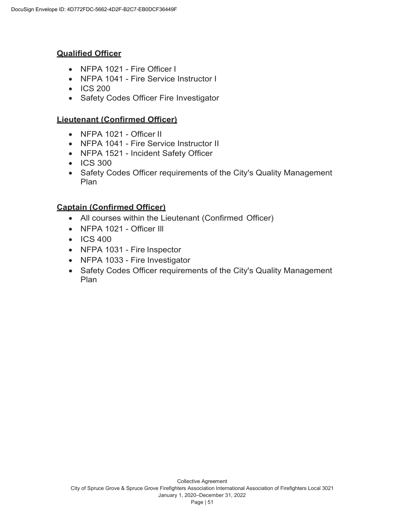## **Qualified Officer**

- NFPA 1021 Fire Officer I
- NFPA 1041 Fire Service Instructor I
- ICS 200
- Safety Codes Officer Fire Investigator

## **Lieutenant (Confirmed Officer)**

- $\bullet$  NFPA 1021 Officer II
- NFPA 1041 Fire Service Instructor II
- NFPA 1521 Incident Safety Officer
- ICS 300
- Safety Codes Officer requirements of the City's Quality Management Plan

## **Captain (Confirmed Officer)**

- All courses within the Lieutenant (Confirmed Officer)
- NFPA 1021 Officer III
- ICS 400
- NFPA 1031 Fire Inspector
- NFPA 1033 Fire Investigator
- Safety Codes Officer requirements of the City's Quality Management Plan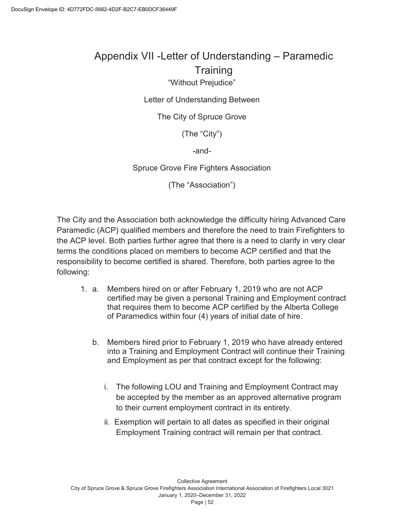# Appendix VII -Letter of Understanding – Paramedic **Training**

## "Without Prejudice"

#### Letter of Understanding Between

#### The City of Spruce Grove

(The "City")

-and-

#### Spruce Grove Fire Fighters Association

(The "Association")

The City and the Association both acknowledge the difficulty hiring Advanced Care Paramedic (ACP) qualified members and therefore the need to train Firefighters to the ACP level. Both parties further agree that there is a need to clarify in very clear terms the conditions placed on members to become ACP certified and that the responsibility to become certified is shared. Therefore, both parties agree to the following:

- 1. a. Members hired on or after February 1, 2019 who are not ACP certified may be given a personal Training and Employment contract that requires them to become ACP certified by the Alberta College of Paramedics within four (4) years of initial date of hire.
	- b. Members hired prior to February 1, 2019 who have already entered into a Training and Employment Contract will continue their Training and Employment as per that contract except for the following:
		- i. The following LOU and Training and Employment Contract may be accepted by the member as an approved alternative program to their current employment contract in its entirety.
		- ii. Exemption will pertain to all dates as specified in their original Employment Training contract will remain per that contract.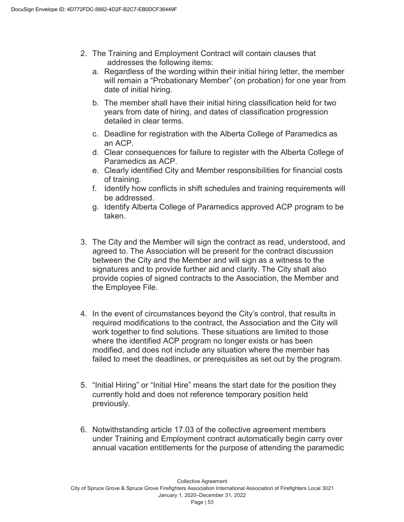- 2. The Training and Employment Contract will contain clauses that addresses the following items:
	- a. Regardless of the wording within their initial hiring letter, the member will remain a "Probationary Member" (on probation) for one year from date of initial hiring.
	- b. The member shall have their initial hiring classification held for two years from date of hiring, and dates of classification progression detailed in clear terms.
	- c. Deadline for registration with the Alberta College of Paramedics as an ACP.
	- d. Clear consequences for failure to register with the Alberta College of Paramedics as ACP.
	- e. Clearly identified City and Member responsibilities for financial costs of training.
	- f. Identify how conflicts in shift schedules and training requirements will be addressed.
	- g. Identify Alberta College of Paramedics approved ACP program to be taken.
- 3. The City and the Member will sign the contract as read, understood, and agreed to. The Association will be present for the contract discussion between the City and the Member and will sign as a witness to the signatures and to provide further aid and clarity. The City shall also provide copies of signed contracts to the Association, the Member and the Employee File.
- 4. In the event of circumstances beyond the City's control, that results in required modifications to the contract, the Association and the City will work together to find solutions. These situations are limited to those where the identified ACP program no longer exists or has been modified, and does not include any situation where the member has failed to meet the deadlines, or prerequisites as set out by the program.
- 5. "Initial Hiring" or "Initial Hire" means the start date for the position they currently hold and does not reference temporary position held previously.
- 6. Notwithstanding article 17.03 of the collective agreement members under Training and Employment contract automatically begin carry over annual vacation entitlements for the purpose of attending the paramedic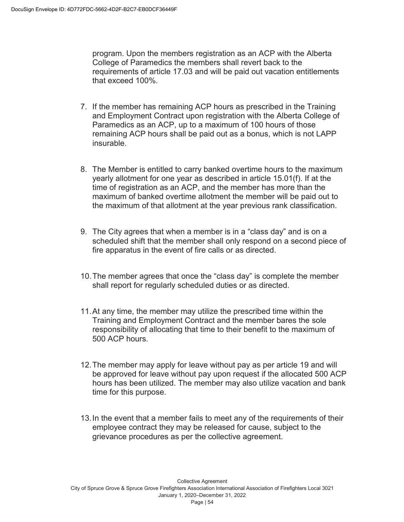program. Upon the members registration as an ACP with the Alberta College of Paramedics the members shall revert back to the requirements of article 17.03 and will be paid out vacation entitlements that exceed 100%.

- 7. If the member has remaining ACP hours as prescribed in the Training and Employment Contract upon registration with the Alberta College of Paramedics as an ACP, up to a maximum of 100 hours of those remaining ACP hours shall be paid out as a bonus, which is not LAPP insurable.
- 8. The Member is entitled to carry banked overtime hours to the maximum yearly allotment for one year as described in article 15.01(f). If at the time of registration as an ACP, and the member has more than the maximum of banked overtime allotment the member will be paid out to the maximum of that allotment at the year previous rank classification.
- 9. The City agrees that when a member is in a "class day" and is on a scheduled shift that the member shall only respond on a second piece of fire apparatus in the event of fire calls or as directed.
- 10. The member agrees that once the "class day" is complete the member shall report for regularly scheduled duties or as directed.
- 11. At any time, the member may utilize the prescribed time within the Training and Employment Contract and the member bares the sole responsibility of allocating that time to their benefit to the maximum of 500 ACP hours.
- 12. The member may apply for leave without pay as per article 19 and will be approved for leave without pay upon request if the allocated 500 ACP hours has been utilized. The member may also utilize vacation and bank time for this purpose.
- 13. In the event that a member fails to meet any of the requirements of their employee contract they may be released for cause, subject to the grievance procedures as per the collective agreement.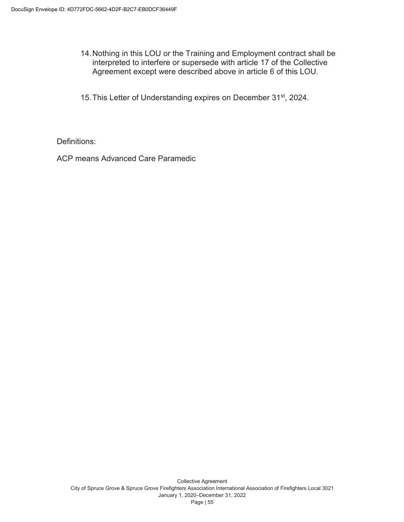- 14. Nothing in this LOU or the Training and Employment contract shall be interpreted to interfere or supersede with article 17 of the Collective Agreement except were described above in article 6 of this LOU.
- 15. This Letter of Understanding expires on December 31<sup>st</sup>, 2024.

Definitions:

ACP means Advanced Care Paramedic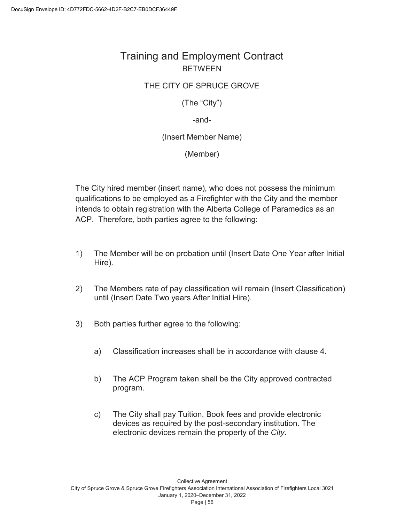# Training and Employment Contract BETWEEN

#### THE CITY OF SPRUCE GROVE

(The "City")

-and-

(Insert Member Name)

(Member)

The City hired member (insert name), who does not possess the minimum qualifications to be employed as a Firefighter with the City and the member intends to obtain registration with the Alberta College of Paramedics as an ACP. Therefore, both parties agree to the following:

- 1) The Member will be on probation until (Insert Date One Year after Initial Hire).
- 2) The Members rate of pay classification will remain (Insert Classification) until (Insert Date Two years After Initial Hire).
- 3) Both parties further agree to the following:
	- a) Classification increases shall be in accordance with clause 4.
	- b) The ACP Program taken shall be the City approved contracted program.
	- c) The City shall pay Tuition, Book fees and provide electronic devices as required by the post-secondary institution. The electronic devices remain the property of the *City*.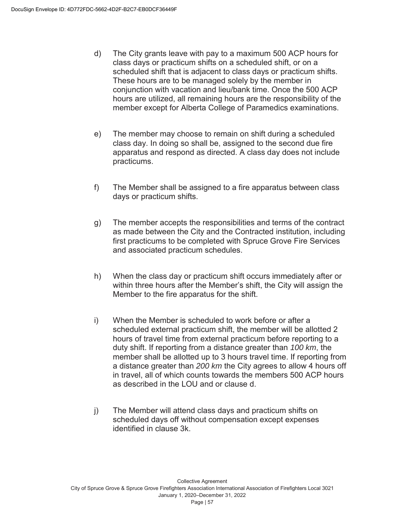- d) The City grants leave with pay to a maximum 500 ACP hours for class days or practicum shifts on a scheduled shift, or on a scheduled shift that is adjacent to class days or practicum shifts. These hours are to be managed solely by the member in conjunction with vacation and lieu/bank time. Once the 500 ACP hours are utilized, all remaining hours are the responsibility of the member except for Alberta College of Paramedics examinations.
- e) The member may choose to remain on shift during a scheduled class day. In doing so shall be, assigned to the second due fire apparatus and respond as directed. A class day does not include practicums.
- f) The Member shall be assigned to a fire apparatus between class days or practicum shifts.
- g) The member accepts the responsibilities and terms of the contract as made between the City and the Contracted institution, including first practicums to be completed with Spruce Grove Fire Services and associated practicum schedules.
- h) When the class day or practicum shift occurs immediately after or within three hours after the Member's shift, the City will assign the Member to the fire apparatus for the shift.
- i) When the Member is scheduled to work before or after a scheduled external practicum shift, the member will be allotted 2 hours of travel time from external practicum before reporting to a duty shift. If reporting from a distance greater than *100 km*, the member shall be allotted up to 3 hours travel time. If reporting from a distance greater than *200 km* the City agrees to allow 4 hours off in travel, all of which counts towards the members 500 ACP hours as described in the LOU and or clause d.
- j) The Member will attend class days and practicum shifts on scheduled days off without compensation except expenses identified in clause 3k.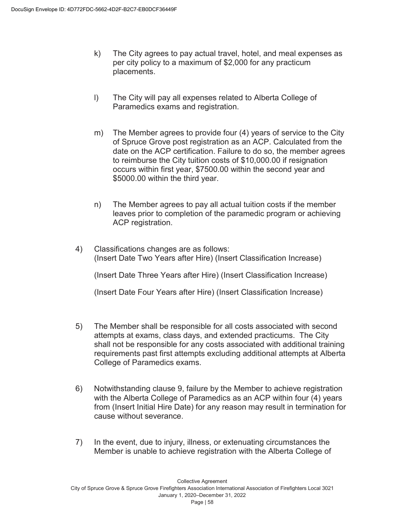- k) The City agrees to pay actual travel, hotel, and meal expenses as per city policy to a maximum of \$2,000 for any practicum placements.
- l) The City will pay all expenses related to Alberta College of Paramedics exams and registration.
- m) The Member agrees to provide four (4) years of service to the City of Spruce Grove post registration as an ACP. Calculated from the date on the ACP certification. Failure to do so, the member agrees to reimburse the City tuition costs of \$10,000.00 if resignation occurs within first year, \$7500.00 within the second year and \$5000.00 within the third year.
- n) The Member agrees to pay all actual tuition costs if the member leaves prior to completion of the paramedic program or achieving ACP registration.
- 4) Classifications changes are as follows: (Insert Date Two Years after Hire) (Insert Classification Increase) (Insert Date Three Years after Hire) (Insert Classification Increase)

(Insert Date Four Years after Hire) (Insert Classification Increase)

- 5) The Member shall be responsible for all costs associated with second attempts at exams, class days, and extended practicums. The City shall not be responsible for any costs associated with additional training requirements past first attempts excluding additional attempts at Alberta College of Paramedics exams.
- 6) Notwithstanding clause 9, failure by the Member to achieve registration with the Alberta College of Paramedics as an ACP within four (4) years from (Insert Initial Hire Date) for any reason may result in termination for cause without severance.
- 7) In the event, due to injury, illness, or extenuating circumstances the Member is unable to achieve registration with the Alberta College of